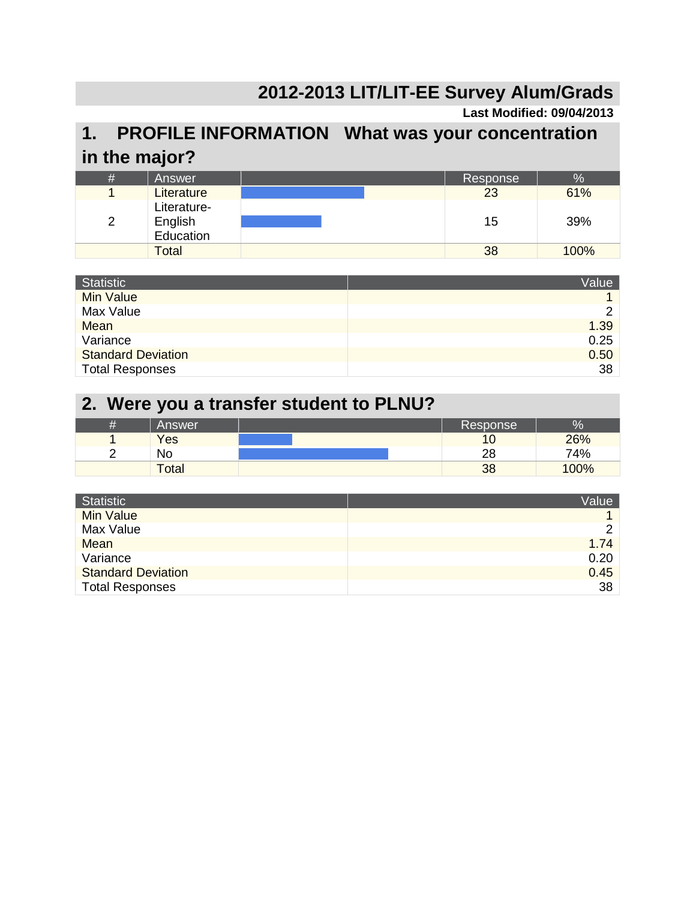#### **2012-2013 LIT/LIT-EE Survey Alum/Grads**

#### **Last Modified: 09/04/2013**

#### **1. PROFILE INFORMATION What was your concentration in the major?**

| # | Answer                              | Response | %    |
|---|-------------------------------------|----------|------|
|   | Literature                          | 23       | 61%  |
| 2 | Literature-<br>English<br>Education | 15       | 39%  |
|   | <b>Total</b>                        | 38       | 100% |

| <b>Statistic</b>          | Value |
|---------------------------|-------|
| <b>Min Value</b>          |       |
| Max Value                 | ⌒     |
| Mean                      | 1.39  |
| Variance                  | 0.25  |
| <b>Standard Deviation</b> | 0.50  |
| <b>Total Responses</b>    | 38    |

#### **2. Were you a transfer student to PLNU?**

| Answer       | Response       | 0,   |
|--------------|----------------|------|
| Yes          | 1 <sup>c</sup> | 26%  |
| No           | 28             | 74%  |
| <b>Total</b> | 38             | 100% |

| Statistic                 | Value         |
|---------------------------|---------------|
| <b>Min Value</b>          |               |
| Max Value                 | $\mathcal{P}$ |
| Mean                      | 1.74          |
| Variance                  | 0.20          |
| <b>Standard Deviation</b> | 0.45          |
| <b>Total Responses</b>    | 38            |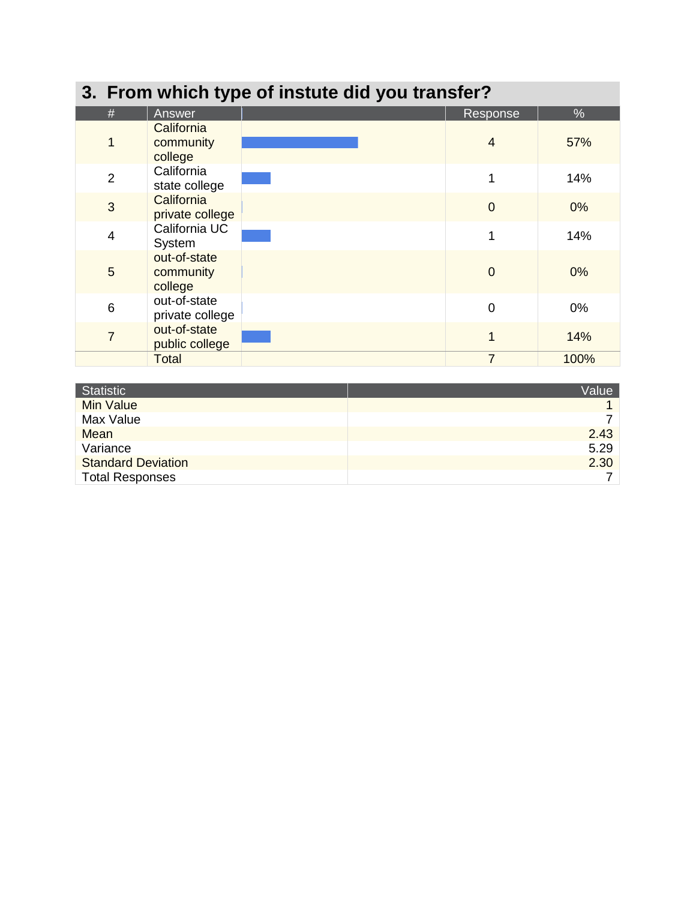|                | 3. From which type of instute did you transfer? |  |                |       |  |  |  |  |
|----------------|-------------------------------------------------|--|----------------|-------|--|--|--|--|
| #              | Answer                                          |  | Response       | $\%$  |  |  |  |  |
| $\overline{1}$ | California<br>community<br>college              |  | $\overline{4}$ | 57%   |  |  |  |  |
| $\overline{2}$ | California<br>state college                     |  | 1              | 14%   |  |  |  |  |
| 3              | California<br>private college                   |  | $\overline{0}$ | 0%    |  |  |  |  |
| $\overline{4}$ | California UC<br>System                         |  |                | 14%   |  |  |  |  |
| 5              | out-of-state<br>community<br>college            |  | $\Omega$       | 0%    |  |  |  |  |
| 6              | out-of-state<br>private college                 |  | $\overline{0}$ | $0\%$ |  |  |  |  |
| $\overline{7}$ | out-of-state<br>public college                  |  |                | 14%   |  |  |  |  |
|                | <b>Total</b>                                    |  | $\overline{7}$ | 100%  |  |  |  |  |

| Statistic                 | Value |
|---------------------------|-------|
| <b>Min Value</b>          |       |
| Max Value                 |       |
| Mean                      | 2.43  |
| Variance                  | 5.29  |
| <b>Standard Deviation</b> | 2.30  |
| <b>Total Responses</b>    |       |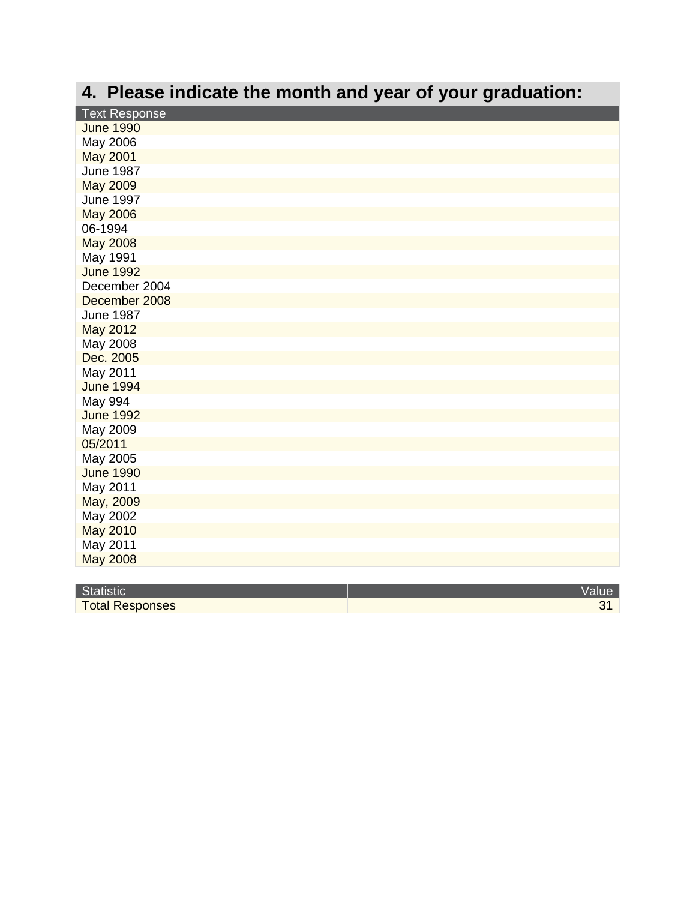## **4. Please indicate the month and year of your graduation:**

| <b>June 1990</b><br>May 2006<br><b>May 2001</b><br><b>June 1987</b><br><b>May 2009</b><br><b>June 1997</b><br><b>May 2006</b><br>06-1994<br><b>May 2008</b><br>May 1991<br><b>June 1992</b><br>December 2004<br>December 2008<br><b>June 1987</b><br>May 2012<br>May 2008<br>Dec. 2005<br>May 2011<br><b>June 1994</b><br><b>May 994</b><br><b>June 1992</b><br>May 2009<br>05/2011<br>May 2005<br><b>June 1990</b><br>May 2011<br>May, 2009<br>May 2002<br><b>May 2010</b><br>May 2011<br><b>May 2008</b> | <b>Text Response</b> |
|------------------------------------------------------------------------------------------------------------------------------------------------------------------------------------------------------------------------------------------------------------------------------------------------------------------------------------------------------------------------------------------------------------------------------------------------------------------------------------------------------------|----------------------|
|                                                                                                                                                                                                                                                                                                                                                                                                                                                                                                            |                      |
|                                                                                                                                                                                                                                                                                                                                                                                                                                                                                                            |                      |
|                                                                                                                                                                                                                                                                                                                                                                                                                                                                                                            |                      |
|                                                                                                                                                                                                                                                                                                                                                                                                                                                                                                            |                      |
|                                                                                                                                                                                                                                                                                                                                                                                                                                                                                                            |                      |
|                                                                                                                                                                                                                                                                                                                                                                                                                                                                                                            |                      |
|                                                                                                                                                                                                                                                                                                                                                                                                                                                                                                            |                      |
|                                                                                                                                                                                                                                                                                                                                                                                                                                                                                                            |                      |
|                                                                                                                                                                                                                                                                                                                                                                                                                                                                                                            |                      |
|                                                                                                                                                                                                                                                                                                                                                                                                                                                                                                            |                      |
|                                                                                                                                                                                                                                                                                                                                                                                                                                                                                                            |                      |
|                                                                                                                                                                                                                                                                                                                                                                                                                                                                                                            |                      |
|                                                                                                                                                                                                                                                                                                                                                                                                                                                                                                            |                      |
|                                                                                                                                                                                                                                                                                                                                                                                                                                                                                                            |                      |
|                                                                                                                                                                                                                                                                                                                                                                                                                                                                                                            |                      |
|                                                                                                                                                                                                                                                                                                                                                                                                                                                                                                            |                      |
|                                                                                                                                                                                                                                                                                                                                                                                                                                                                                                            |                      |
|                                                                                                                                                                                                                                                                                                                                                                                                                                                                                                            |                      |
|                                                                                                                                                                                                                                                                                                                                                                                                                                                                                                            |                      |
|                                                                                                                                                                                                                                                                                                                                                                                                                                                                                                            |                      |
|                                                                                                                                                                                                                                                                                                                                                                                                                                                                                                            |                      |
|                                                                                                                                                                                                                                                                                                                                                                                                                                                                                                            |                      |
|                                                                                                                                                                                                                                                                                                                                                                                                                                                                                                            |                      |
|                                                                                                                                                                                                                                                                                                                                                                                                                                                                                                            |                      |
|                                                                                                                                                                                                                                                                                                                                                                                                                                                                                                            |                      |
|                                                                                                                                                                                                                                                                                                                                                                                                                                                                                                            |                      |
|                                                                                                                                                                                                                                                                                                                                                                                                                                                                                                            |                      |
|                                                                                                                                                                                                                                                                                                                                                                                                                                                                                                            |                      |
|                                                                                                                                                                                                                                                                                                                                                                                                                                                                                                            |                      |
|                                                                                                                                                                                                                                                                                                                                                                                                                                                                                                            |                      |
|                                                                                                                                                                                                                                                                                                                                                                                                                                                                                                            |                      |

| $\sim$<br><b>MSIIL</b><br>œ |  |
|-----------------------------|--|
| <b>Total Responses</b>      |  |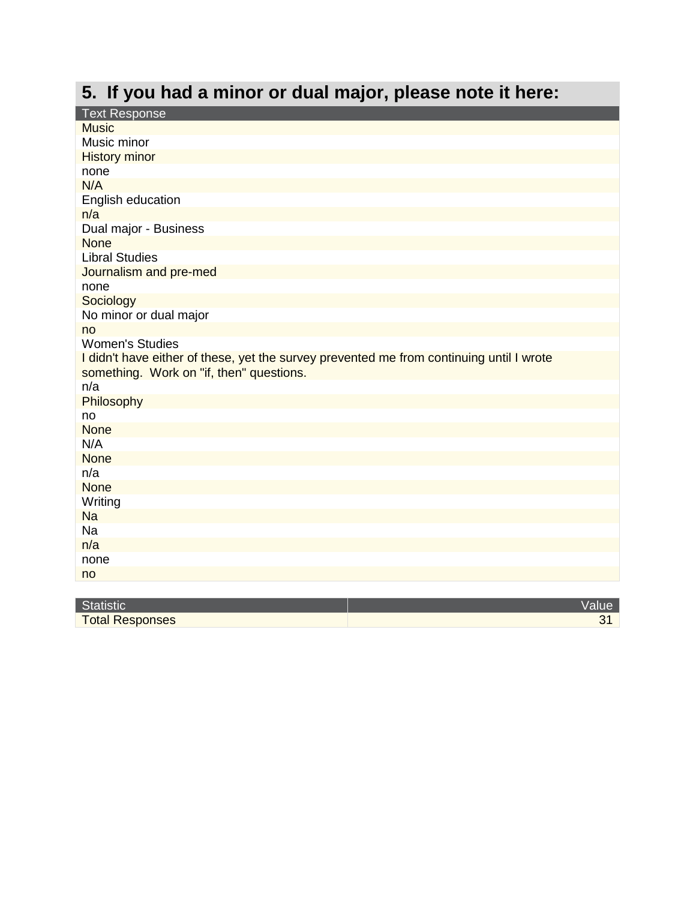## **5. If you had a minor or dual major, please note it here:**

| <b>Text Response</b>                                                                     |       |
|------------------------------------------------------------------------------------------|-------|
| <b>Music</b>                                                                             |       |
| Music minor                                                                              |       |
| <b>History minor</b>                                                                     |       |
| none                                                                                     |       |
| N/A                                                                                      |       |
| English education                                                                        |       |
| n/a                                                                                      |       |
| Dual major - Business                                                                    |       |
| <b>None</b>                                                                              |       |
| <b>Libral Studies</b>                                                                    |       |
| Journalism and pre-med                                                                   |       |
| none                                                                                     |       |
| Sociology                                                                                |       |
| No minor or dual major                                                                   |       |
| no                                                                                       |       |
| <b>Women's Studies</b>                                                                   |       |
| I didn't have either of these, yet the survey prevented me from continuing until I wrote |       |
| something. Work on "if, then" questions.                                                 |       |
| n/a                                                                                      |       |
| Philosophy                                                                               |       |
| no                                                                                       |       |
| <b>None</b>                                                                              |       |
| N/A                                                                                      |       |
| <b>None</b>                                                                              |       |
| n/a                                                                                      |       |
| <b>None</b>                                                                              |       |
| Writing                                                                                  |       |
| <b>Na</b>                                                                                |       |
| Na                                                                                       |       |
| n/a                                                                                      |       |
| none                                                                                     |       |
| no                                                                                       |       |
|                                                                                          |       |
| <b>Statistic</b>                                                                         | Value |

| <b>Statistic</b>       | value |
|------------------------|-------|
| <b>Total Responses</b> |       |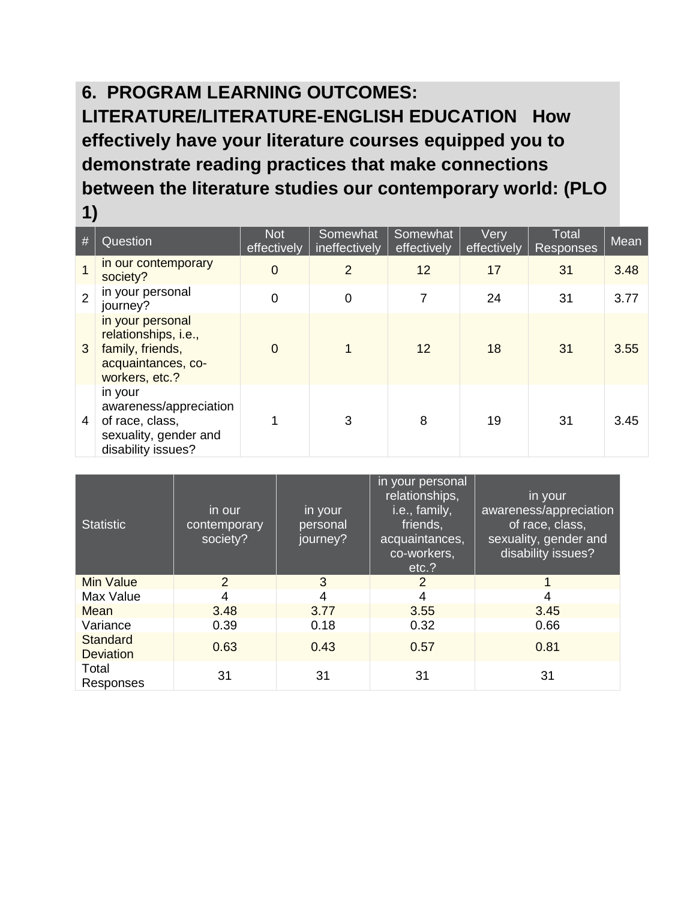#### **6. PROGRAM LEARNING OUTCOMES: LITERATURE/LITERATURE-ENGLISH EDUCATION How effectively have your literature courses equipped you to demonstrate reading practices that make connections between the literature studies our contemporary world: (PLO 1)**

| # | Question                                                                                             | <b>Not</b><br>effectively | Somewhat<br>ineffectively | Somewhat<br>effectively | Very<br>effectively | Total<br><b>Responses</b> | Mean |
|---|------------------------------------------------------------------------------------------------------|---------------------------|---------------------------|-------------------------|---------------------|---------------------------|------|
|   | in our contemporary<br>society?                                                                      | $\overline{0}$            | $\overline{2}$            | 12                      | 17                  | 31                        | 3.48 |
| 2 | in your personal<br>journey?                                                                         | $\overline{0}$            | $\overline{0}$            |                         | 24                  | 31                        | 3.77 |
| 3 | in your personal<br>relationships, i.e.,<br>family, friends,<br>acquaintances, co-<br>workers, etc.? | $\Omega$                  |                           | 12                      | 18                  | 31                        | 3.55 |
| 4 | in your<br>awareness/appreciation<br>of race, class,<br>sexuality, gender and<br>disability issues?  |                           | 3                         | 8                       | 19                  | 31                        | 3.45 |

| <b>Statistic</b>                    | in our<br>contemporary<br>society? | in your<br>personal<br>journey? | in your personal<br>relationships,<br>i.e., family,<br>friends,<br>acquaintances,<br>co-workers,<br>etc.? | in your<br>awareness/appreciation<br>of race, class,<br>sexuality, gender and<br>disability issues? |
|-------------------------------------|------------------------------------|---------------------------------|-----------------------------------------------------------------------------------------------------------|-----------------------------------------------------------------------------------------------------|
| <b>Min Value</b>                    | 2                                  | 3                               | 2                                                                                                         |                                                                                                     |
| Max Value                           | 4                                  | 4                               | 4                                                                                                         | 4                                                                                                   |
| Mean                                | 3.48                               | 3.77                            | 3.55                                                                                                      | 3.45                                                                                                |
| Variance                            | 0.39                               | 0.18                            | 0.32                                                                                                      | 0.66                                                                                                |
| <b>Standard</b><br><b>Deviation</b> | 0.63                               | 0.43                            | 0.57                                                                                                      | 0.81                                                                                                |
| Total<br>Responses                  | 31                                 | 31                              | 31                                                                                                        | 31                                                                                                  |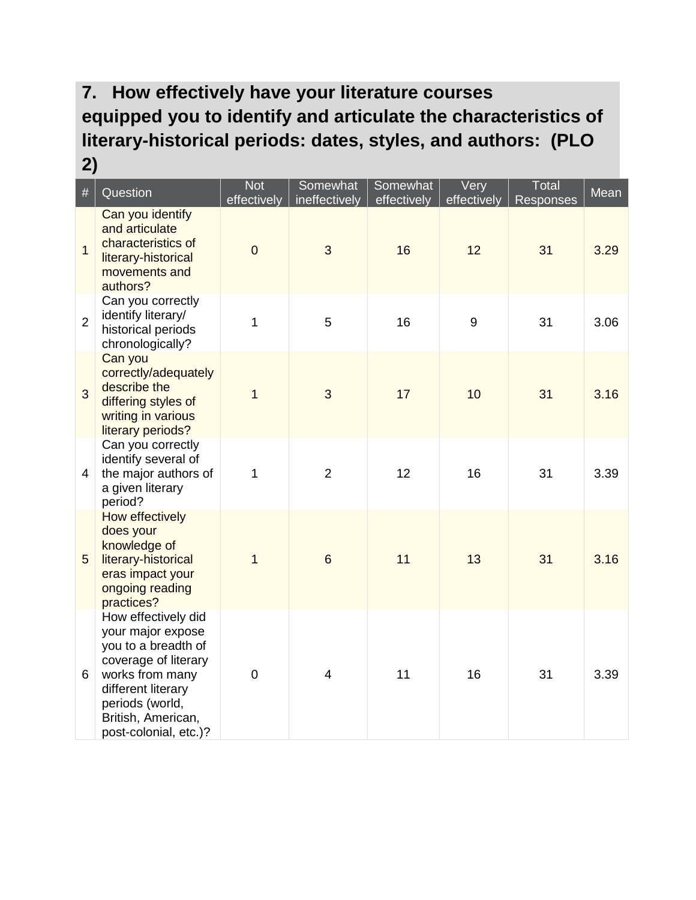#### **7. How effectively have your literature courses equipped you to identify and articulate the characteristics of literary-historical periods: dates, styles, and authors: (PLO 2)**

| $\#$           | Question                                                                                                                                                                                           | <b>Not</b><br>effectively | Somewhat<br>ineffectively | Somewhat<br>effectively | Very<br>effectively | Total<br>Responses | Mean |
|----------------|----------------------------------------------------------------------------------------------------------------------------------------------------------------------------------------------------|---------------------------|---------------------------|-------------------------|---------------------|--------------------|------|
| $\overline{1}$ | Can you identify<br>and articulate<br>characteristics of<br>literary-historical<br>movements and<br>authors?                                                                                       | $\overline{0}$            | 3                         | 16                      | 12                  | 31                 | 3.29 |
| $\overline{2}$ | Can you correctly<br>identify literary/<br>historical periods<br>chronologically?                                                                                                                  | $\mathbf{1}$              | 5                         | 16                      | 9                   | 31                 | 3.06 |
| 3              | Can you<br>correctly/adequately<br>describe the<br>differing styles of<br>writing in various<br>literary periods?                                                                                  | $\overline{1}$            | 3                         | 17                      | 10                  | 31                 | 3.16 |
| 4              | Can you correctly<br>identify several of<br>the major authors of<br>a given literary<br>period?                                                                                                    | $\mathbf{1}$              | $\overline{2}$            | 12                      | 16                  | 31                 | 3.39 |
| 5              | How effectively<br>does your<br>knowledge of<br>literary-historical<br>eras impact your<br>ongoing reading<br>practices?                                                                           | $\mathbf{1}$              | $6\phantom{1}6$           | 11                      | 13                  | 31                 | 3.16 |
| 6              | How effectively did<br>your major expose<br>you to a breadth of<br>coverage of literary<br>works from many<br>different literary<br>periods (world,<br>British, American,<br>post-colonial, etc.)? | $\overline{0}$            | $\overline{4}$            | 11                      | 16                  | 31                 | 3.39 |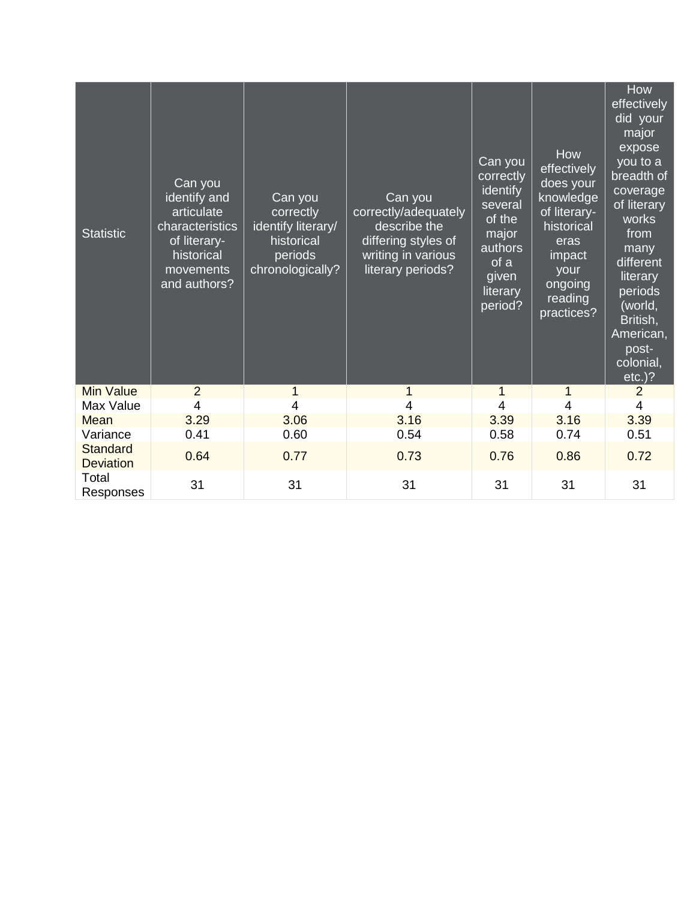| <b>Statistic</b>                    | Can you<br>identify and<br>articulate<br>characteristics<br>of literary-<br>historical<br>movements<br>and authors? | Can you<br>correctly<br>identify literary/<br>historical<br>periods<br>chronologically? | Can you<br>correctly/adequately<br>describe the<br>differing styles of<br>writing in various<br>literary periods? | Can you<br>correctly<br>identify<br>several<br>of the<br>major<br>authors<br>of a<br>given<br>literary<br>period? | How<br>effectively<br>does your<br>knowledge<br>of literary-<br>historical<br>eras<br>impact<br>your<br>ongoing<br>reading<br>practices? | How<br>effectively<br>did your<br>major<br>expose<br>you to a<br>breadth of<br>coverage<br>of literary<br>works<br>from<br>many<br>different<br>literary<br>periods<br>(world,<br>British,<br>American,<br>post-<br>colonial,<br>$etc.$ )? |
|-------------------------------------|---------------------------------------------------------------------------------------------------------------------|-----------------------------------------------------------------------------------------|-------------------------------------------------------------------------------------------------------------------|-------------------------------------------------------------------------------------------------------------------|------------------------------------------------------------------------------------------------------------------------------------------|--------------------------------------------------------------------------------------------------------------------------------------------------------------------------------------------------------------------------------------------|
| <b>Min Value</b>                    | $\overline{2}$                                                                                                      |                                                                                         | 1                                                                                                                 | 1                                                                                                                 | 1                                                                                                                                        | $\overline{2}$                                                                                                                                                                                                                             |
| Max Value                           | 4                                                                                                                   | 4                                                                                       | 4                                                                                                                 | 4                                                                                                                 | 4                                                                                                                                        | $\overline{4}$                                                                                                                                                                                                                             |
| Mean                                | 3.29                                                                                                                | 3.06                                                                                    | 3.16                                                                                                              | 3.39                                                                                                              | 3.16                                                                                                                                     | 3.39                                                                                                                                                                                                                                       |
| Variance                            | 0.41                                                                                                                | 0.60                                                                                    | 0.54                                                                                                              | 0.58                                                                                                              | 0.74                                                                                                                                     | 0.51                                                                                                                                                                                                                                       |
| <b>Standard</b><br><b>Deviation</b> | 0.64                                                                                                                | 0.77                                                                                    | 0.73                                                                                                              | 0.76                                                                                                              | 0.86                                                                                                                                     | 0.72                                                                                                                                                                                                                                       |
| Total<br>Responses                  | 31                                                                                                                  | 31                                                                                      | 31                                                                                                                | 31                                                                                                                | 31                                                                                                                                       | 31                                                                                                                                                                                                                                         |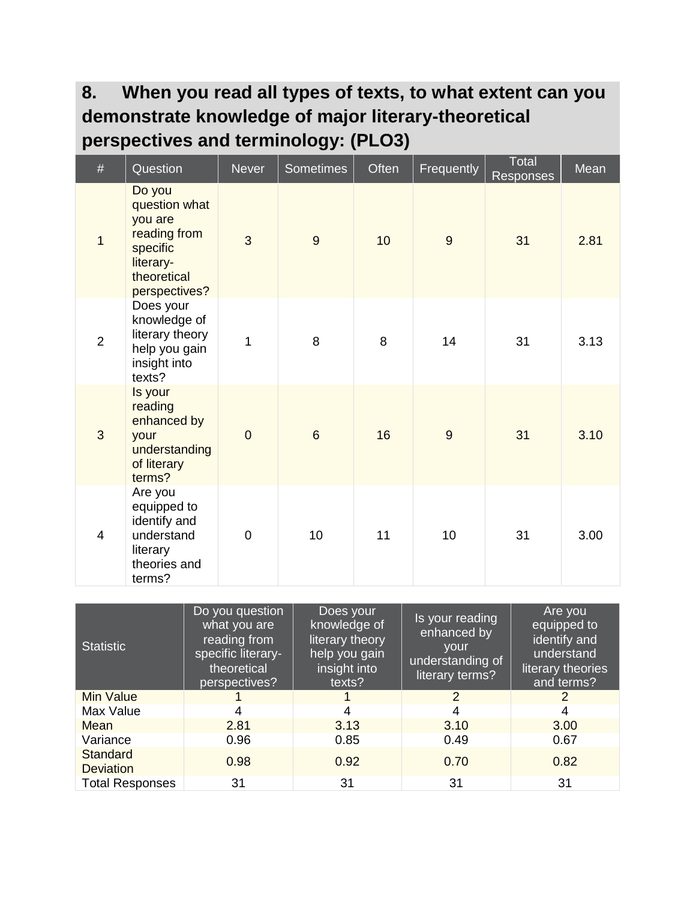#### **8. When you read all types of texts, to what extent can you demonstrate knowledge of major literary-theoretical perspectives and terminology: (PLO3)**

| $\#$           | Question                                                                                                    | <b>Never</b>   | <b>Sometimes</b> | Often | Frequently | <b>Total</b><br>Responses | Mean |
|----------------|-------------------------------------------------------------------------------------------------------------|----------------|------------------|-------|------------|---------------------------|------|
| 1              | Do you<br>question what<br>you are<br>reading from<br>specific<br>literary-<br>theoretical<br>perspectives? | 3              | 9                | 10    | 9          | 31                        | 2.81 |
| $\overline{2}$ | Does your<br>knowledge of<br>literary theory<br>help you gain<br>insight into<br>texts?                     | $\overline{1}$ | 8                | 8     | 14         | 31                        | 3.13 |
| 3              | Is your<br>reading<br>enhanced by<br>your<br>understanding<br>of literary<br>terms?                         | $\overline{0}$ | $6\phantom{1}$   | 16    | 9          | 31                        | 3.10 |
| $\overline{4}$ | Are you<br>equipped to<br>identify and<br>understand<br>literary<br>theories and<br>terms?                  | $\overline{0}$ | 10               | 11    | 10         | 31                        | 3.00 |

| <b>Statistic</b>                    | Do you question<br>what you are<br>reading from<br>specific literary-<br>theoretical<br>perspectives? | Does your<br>knowledge of<br>literary theory<br>help you gain<br>insight into<br>texts? | Is your reading<br>enhanced by<br>your<br>understanding of<br>literary terms? | Are you<br>equipped to<br>identify and<br>understand<br>literary theories<br>and terms? |  |
|-------------------------------------|-------------------------------------------------------------------------------------------------------|-----------------------------------------------------------------------------------------|-------------------------------------------------------------------------------|-----------------------------------------------------------------------------------------|--|
| <b>Min Value</b>                    |                                                                                                       |                                                                                         | $\overline{2}$                                                                | 2                                                                                       |  |
| Max Value                           |                                                                                                       |                                                                                         | 4                                                                             |                                                                                         |  |
| Mean                                | 2.81                                                                                                  | 3.13                                                                                    | 3.10                                                                          | 3.00                                                                                    |  |
| Variance                            | 0.96                                                                                                  | 0.85                                                                                    | 0.49                                                                          | 0.67                                                                                    |  |
| <b>Standard</b><br><b>Deviation</b> | 0.98                                                                                                  | 0.92                                                                                    | 0.70                                                                          | 0.82                                                                                    |  |
| <b>Total Responses</b>              | 31                                                                                                    | 31                                                                                      | 31                                                                            | 31                                                                                      |  |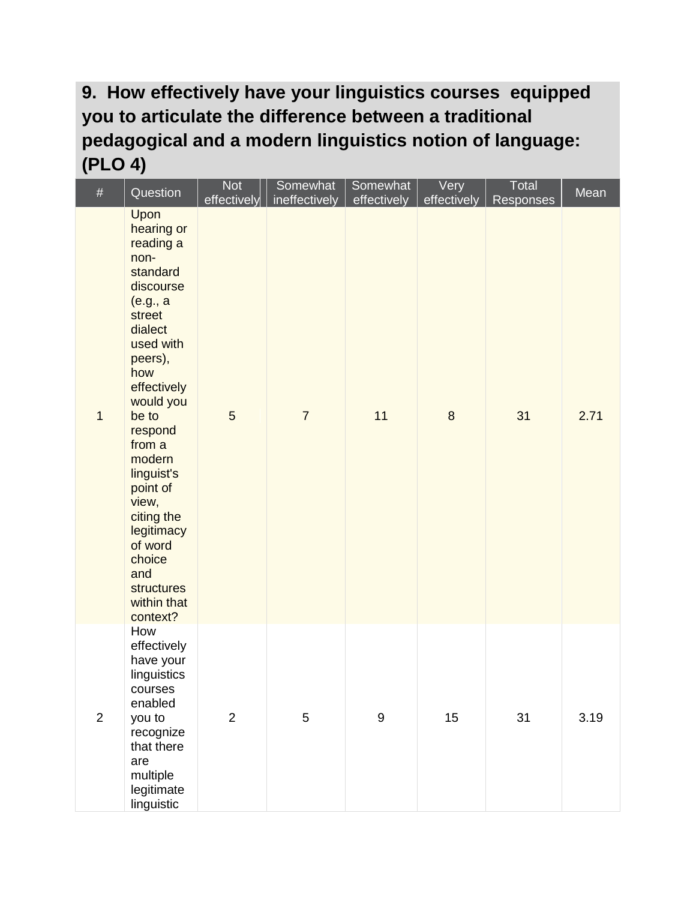#### **9. How effectively have your linguistics courses equipped you to articulate the difference between a traditional pedagogical and a modern linguistics notion of language: (PLO 4)**

| $\#$           | Question                                                                                                                                                                                                                                                                                                                                 | <b>Not</b><br>effectively | Somewhat<br>ineffectively | Somewhat<br>effectively | Very<br>effectively | Total<br><b>Responses</b> | Mean |
|----------------|------------------------------------------------------------------------------------------------------------------------------------------------------------------------------------------------------------------------------------------------------------------------------------------------------------------------------------------|---------------------------|---------------------------|-------------------------|---------------------|---------------------------|------|
| $\mathbf{1}$   | Upon<br>hearing or<br>reading a<br>non-<br>standard<br>discourse<br>(e.g., a<br>street<br>dialect<br>used with<br>peers),<br>how<br>effectively<br>would you<br>be to<br>respond<br>from a<br>modern<br>linguist's<br>point of<br>view,<br>citing the<br>legitimacy<br>of word<br>choice<br>and<br>structures<br>within that<br>context? | 5                         | $\overline{7}$            | 11                      | $\bf 8$             | 31                        | 2.71 |
| $\overline{2}$ | How<br>effectively<br>have your<br>linguistics<br>courses<br>enabled<br>you to<br>recognize<br>that there<br>are<br>multiple<br>legitimate<br>linguistic                                                                                                                                                                                 | $\overline{2}$            | 5                         | $\boldsymbol{9}$        | 15                  | 31                        | 3.19 |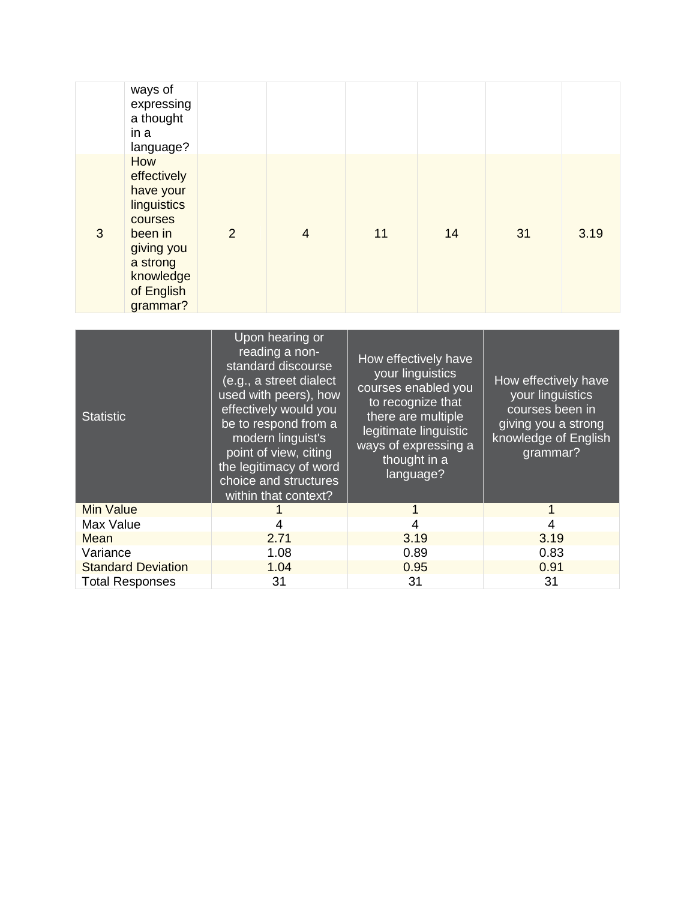|   | ways of<br>expressing<br>a thought<br>in a<br>language?                                                                               |   |                |    |    |    |      |
|---|---------------------------------------------------------------------------------------------------------------------------------------|---|----------------|----|----|----|------|
| 3 | How<br>effectively<br>have your<br>linguistics<br>courses<br>been in<br>giving you<br>a strong<br>knowledge<br>of English<br>grammar? | 2 | $\overline{4}$ | 11 | 14 | 31 | 3.19 |

| <b>Statistic</b>          | Upon hearing or<br>reading a non-<br>standard discourse<br>(e.g., a street dialect<br>used with peers), how<br>effectively would you<br>be to respond from a<br>modern linguist's<br>point of view, citing<br>the legitimacy of word<br>choice and structures<br>within that context? | How effectively have<br>your linguistics<br>courses enabled you<br>to recognize that<br>there are multiple<br>legitimate linguistic<br>ways of expressing a<br>thought in a<br>language? | How effectively have<br>your linguistics<br>courses been in<br>giving you a strong<br>knowledge of English<br>grammar? |  |
|---------------------------|---------------------------------------------------------------------------------------------------------------------------------------------------------------------------------------------------------------------------------------------------------------------------------------|------------------------------------------------------------------------------------------------------------------------------------------------------------------------------------------|------------------------------------------------------------------------------------------------------------------------|--|
| <b>Min Value</b>          |                                                                                                                                                                                                                                                                                       |                                                                                                                                                                                          |                                                                                                                        |  |
| Max Value                 | 4                                                                                                                                                                                                                                                                                     | 4                                                                                                                                                                                        | 4                                                                                                                      |  |
| 2.71<br>Mean              |                                                                                                                                                                                                                                                                                       | 3.19                                                                                                                                                                                     | 3.19                                                                                                                   |  |
| Variance                  | 1.08                                                                                                                                                                                                                                                                                  | 0.89                                                                                                                                                                                     | 0.83                                                                                                                   |  |
| <b>Standard Deviation</b> | 1.04                                                                                                                                                                                                                                                                                  | 0.95                                                                                                                                                                                     | 0.91                                                                                                                   |  |
| <b>Total Responses</b>    | 31                                                                                                                                                                                                                                                                                    | 31                                                                                                                                                                                       | 31                                                                                                                     |  |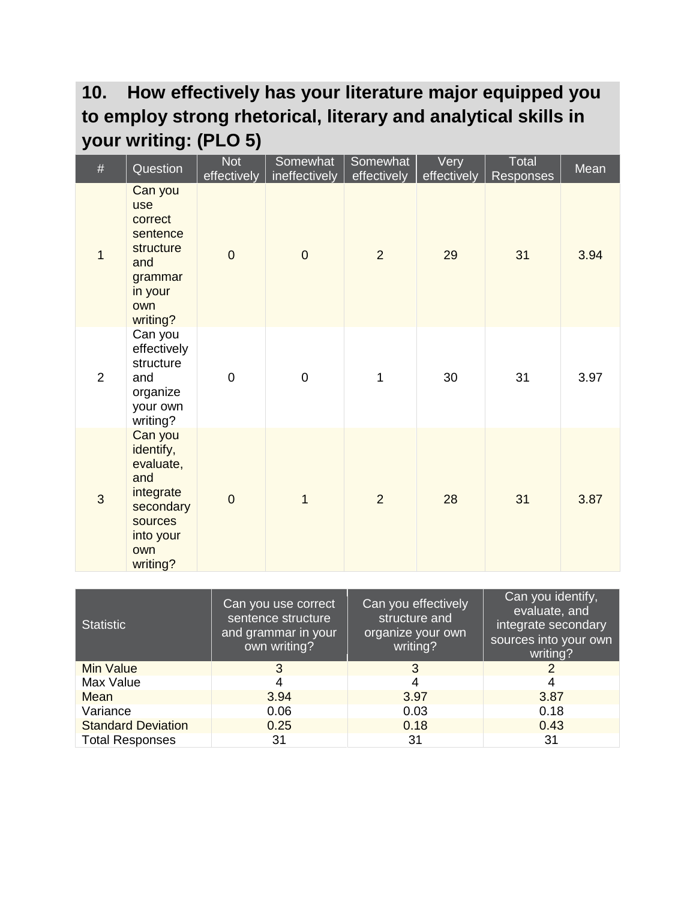#### **10. How effectively has your literature major equipped you to employ strong rhetorical, literary and analytical skills in your writing: (PLO 5)**

| $\#$           | Question                                                                                                      | <b>Not</b><br>effectively | Somewhat<br>ineffectively | Somewhat<br>effectively | Very<br>effectively | Total<br>Responses | Mean |
|----------------|---------------------------------------------------------------------------------------------------------------|---------------------------|---------------------------|-------------------------|---------------------|--------------------|------|
| $\overline{1}$ | Can you<br><b>use</b><br>correct<br>sentence<br>structure<br>and<br>grammar<br>in your<br>own<br>writing?     | $\overline{0}$            | $\overline{0}$            | $\overline{2}$          | 29                  | 31                 | 3.94 |
| $\overline{2}$ | Can you<br>effectively<br>structure<br>and<br>organize<br>your own<br>writing?                                | $\overline{0}$            | $\overline{0}$            | 1                       | 30                  | 31                 | 3.97 |
| 3              | Can you<br>identify,<br>evaluate,<br>and<br>integrate<br>secondary<br>sources<br>into your<br>own<br>writing? | $\overline{0}$            | $\overline{1}$            | $\overline{2}$          | 28                  | 31                 | 3.87 |

| <b>Statistic</b>          | Can you use correct<br>sentence structure<br>and grammar in your<br>own writing? | Can you effectively<br>structure and<br>organize your own<br>writing? | Can you identify,<br>evaluate, and<br>integrate secondary<br>sources into your own<br>writing? |
|---------------------------|----------------------------------------------------------------------------------|-----------------------------------------------------------------------|------------------------------------------------------------------------------------------------|
| Min Value                 | 3                                                                                | 3                                                                     | 2                                                                                              |
| Max Value                 | 4                                                                                | 4                                                                     | 4                                                                                              |
| Mean                      | 3.94                                                                             | 3.97                                                                  | 3.87                                                                                           |
| Variance                  | 0.06                                                                             | 0.03                                                                  | 0.18                                                                                           |
| <b>Standard Deviation</b> | 0.25                                                                             | 0.18                                                                  | 0.43                                                                                           |
| <b>Total Responses</b>    | 31                                                                               | 31                                                                    | 31                                                                                             |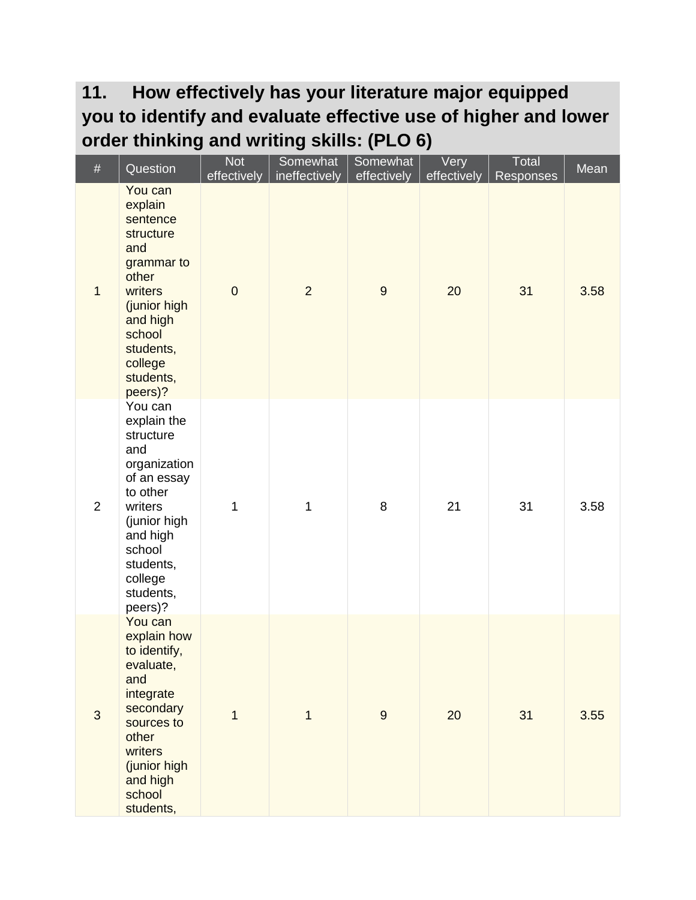#### **11. How effectively has your literature major equipped you to identify and evaluate effective use of higher and lower order thinking and writing skills: (PLO 6)**

| $\#$           | Question                                                                                                                                                                               | <b>Not</b><br>effectively | Somewhat<br>ineffectively | Somewhat<br>effectively | Very<br>effectively | Total<br>Responses | Mean |
|----------------|----------------------------------------------------------------------------------------------------------------------------------------------------------------------------------------|---------------------------|---------------------------|-------------------------|---------------------|--------------------|------|
| $\mathbf{1}$   | You can<br>explain<br>sentence<br>structure<br>and<br>grammar to<br>other<br>writers<br>(junior high<br>and high<br>school<br>students,<br>college<br>students,<br>peers)?             | $\mathbf 0$               | $\overline{2}$            | $\boldsymbol{9}$        | 20                  | 31                 | 3.58 |
| $\overline{2}$ | You can<br>explain the<br>structure<br>and<br>organization<br>of an essay<br>to other<br>writers<br>(junior high<br>and high<br>school<br>students,<br>college<br>students,<br>peers)? | 1                         | 1                         | 8                       | 21                  | 31                 | 3.58 |
| 3              | You can<br>explain how<br>to identify,<br>evaluate,<br>and<br>integrate<br>secondary<br>sources to<br>other<br>writers<br>(junior high<br>and high<br>school<br>students,              | $\mathbf{1}$              | $\mathbf{1}$              | $\boldsymbol{9}$        | 20                  | 31                 | 3.55 |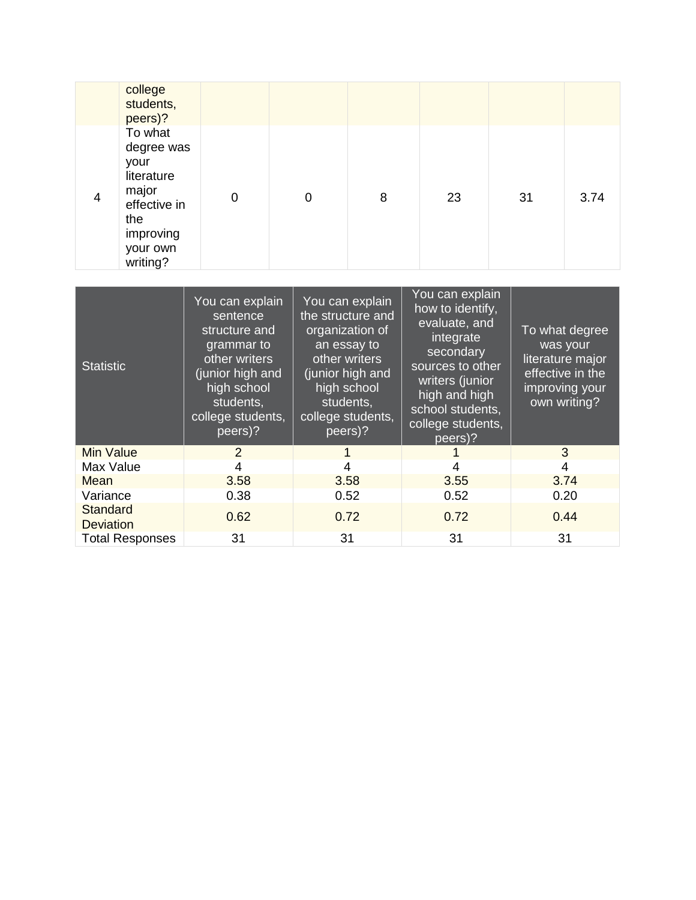|                                     | college<br>students,<br>peers)?                                                                                  |                                                                                                                                                             |                |                                                                                                                                                                         |                                                                                                                                                                                            |    |                                                                                                      |  |  |
|-------------------------------------|------------------------------------------------------------------------------------------------------------------|-------------------------------------------------------------------------------------------------------------------------------------------------------------|----------------|-------------------------------------------------------------------------------------------------------------------------------------------------------------------------|--------------------------------------------------------------------------------------------------------------------------------------------------------------------------------------------|----|------------------------------------------------------------------------------------------------------|--|--|
| $\overline{4}$                      | To what<br>degree was<br>your<br>literature<br>major<br>effective in<br>the<br>improving<br>your own<br>writing? | 0                                                                                                                                                           | $\overline{0}$ | 8                                                                                                                                                                       | 23                                                                                                                                                                                         | 31 | 3.74                                                                                                 |  |  |
|                                     |                                                                                                                  |                                                                                                                                                             |                |                                                                                                                                                                         |                                                                                                                                                                                            |    |                                                                                                      |  |  |
| <b>Statistic</b>                    |                                                                                                                  | You can explain<br>sentence<br>structure and<br>grammar to<br>other writers<br>(junior high and<br>high school<br>students,<br>college students,<br>peers)? |                | You can explain<br>the structure and<br>organization of<br>an essay to<br>other writers<br>(junior high and<br>high school<br>students,<br>college students,<br>peers)? | You can explain<br>how to identify,<br>evaluate, and<br>integrate<br>secondary<br>sources to other<br>writers (junior<br>high and high<br>school students,<br>college students,<br>peers)? |    | To what degree<br>was your<br>literature major<br>effective in the<br>improving your<br>own writing? |  |  |
| <b>Min Value</b>                    |                                                                                                                  | $\overline{2}$<br>4                                                                                                                                         |                | $\mathbf{1}$<br>$\overline{4}$                                                                                                                                          | 1<br>$\overline{4}$                                                                                                                                                                        |    | 3<br>4                                                                                               |  |  |
| Max Value<br>Mean                   |                                                                                                                  | 3.58                                                                                                                                                        |                | 3.58                                                                                                                                                                    | 3.55                                                                                                                                                                                       |    | 3.74                                                                                                 |  |  |
| Variance                            |                                                                                                                  | 0.38                                                                                                                                                        |                | 0.52                                                                                                                                                                    | 0.52                                                                                                                                                                                       |    | 0.20                                                                                                 |  |  |
| <b>Standard</b><br><b>Deviation</b> |                                                                                                                  | 0.62                                                                                                                                                        |                | 0.72                                                                                                                                                                    | 0.72                                                                                                                                                                                       |    | 0.44                                                                                                 |  |  |
|                                     | <b>Total Responses</b>                                                                                           | 31                                                                                                                                                          |                | 31                                                                                                                                                                      | 31                                                                                                                                                                                         |    | 31                                                                                                   |  |  |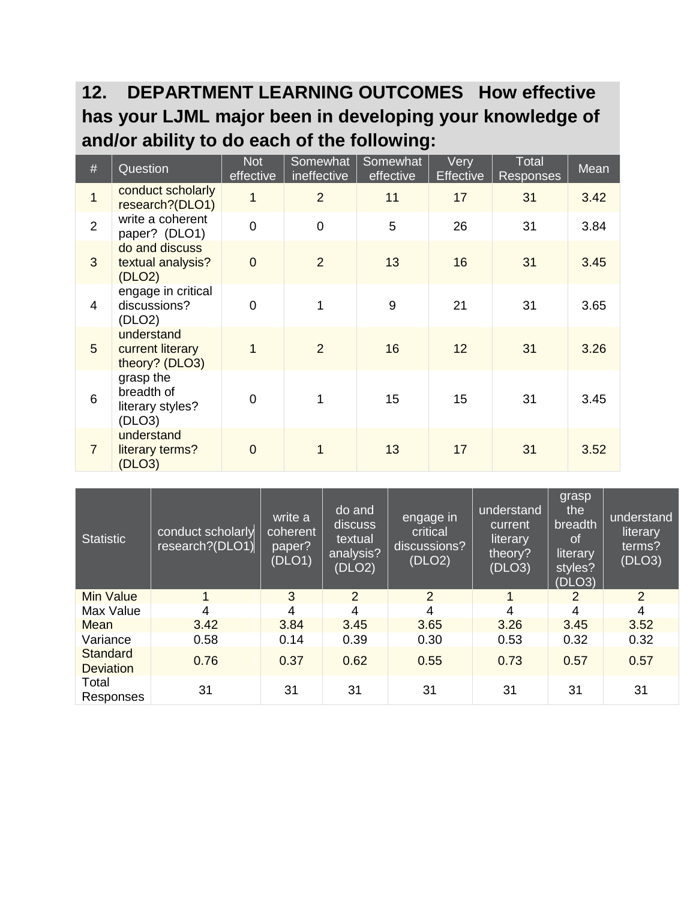#### **12. DEPARTMENT LEARNING OUTCOMES How effective has your LJML major been in developing your knowledge of and/or ability to do each of the following:**

| $\#$           | Question                                              | <b>Not</b><br>effective | Somewhat<br>ineffective | Somewhat<br>effective | Very<br><b>Effective</b> | <b>Total</b><br><b>Responses</b> | Mean |
|----------------|-------------------------------------------------------|-------------------------|-------------------------|-----------------------|--------------------------|----------------------------------|------|
| $\overline{1}$ | conduct scholarly<br>research?(DLO1)                  | $\overline{1}$          | $\overline{2}$          | 11                    | 17                       | 31                               | 3.42 |
| $\overline{2}$ | write a coherent<br>paper? (DLO1)                     | $\overline{0}$          | $\overline{0}$          | 5                     | 26                       | 31                               | 3.84 |
| 3              | do and discuss<br>textual analysis?<br>(DLO2)         | $\overline{0}$          | 2                       | 13                    | 16                       | 31                               | 3.45 |
| $\overline{4}$ | engage in critical<br>discussions?<br>(DLO2)          | $\overline{0}$          | 1                       | 9                     | 21                       | 31                               | 3.65 |
| 5              | understand<br>current literary<br>theory? (DLO3)      | $\overline{1}$          | 2                       | 16                    | 12                       | 31                               | 3.26 |
| 6              | grasp the<br>breadth of<br>literary styles?<br>(DLO3) | $\overline{0}$          | 1                       | 15                    | 15                       | 31                               | 3.45 |
| $\overline{7}$ | understand<br>literary terms?<br>(DLO3)               | $\Omega$                | 1                       | 13                    | 17                       | 31                               | 3.52 |

| <b>Statistic</b>             | conduct scholarly<br>research?(DLO1) | write a<br>coherent<br>paper?<br>(DLO1) | do and<br>discuss<br>textual<br>analysis?<br>(DLO2) | engage in<br>critical<br>discussions?<br>(DLO2) | understand<br>current<br>literary<br>theory?<br>(DLO3) | grasp<br>the<br>breadth<br>0f<br>literary<br>styles?<br>(DLO3) | understand<br>literary<br>terms?<br>(DLO3) |
|------------------------------|--------------------------------------|-----------------------------------------|-----------------------------------------------------|-------------------------------------------------|--------------------------------------------------------|----------------------------------------------------------------|--------------------------------------------|
| <b>Min Value</b>             |                                      | 3                                       | $\overline{2}$                                      | 2                                               | 1                                                      | 2                                                              | 2                                          |
| Max Value                    | 4                                    | 4                                       | 4                                                   | 4                                               | 4                                                      | $\overline{4}$                                                 | $\overline{4}$                             |
| Mean                         | 3.42                                 | 3.84                                    | 3.45                                                | 3.65                                            | 3.26                                                   | 3.45                                                           | 3.52                                       |
| Variance                     | 0.58                                 | 0.14                                    | 0.39                                                | 0.30                                            | 0.53                                                   | 0.32                                                           | 0.32                                       |
| Standard<br><b>Deviation</b> | 0.76                                 | 0.37                                    | 0.62                                                | 0.55                                            | 0.73                                                   | 0.57                                                           | 0.57                                       |
| Total<br>Responses           | 31                                   | 31                                      | 31                                                  | 31                                              | 31                                                     | 31                                                             | 31                                         |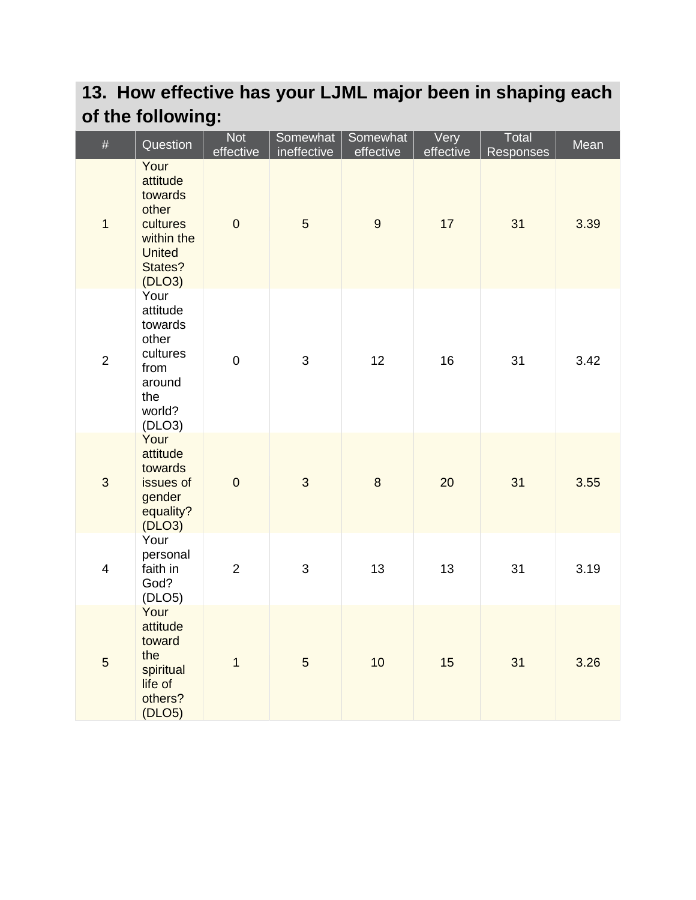## **13. How effective has your LJML major been in shaping each of the following:**

| #              | Question                                                                                             | <b>Not</b><br>effective | Somewhat<br>ineffective | Somewhat<br>effective | Very<br>effective | Total<br>Responses | Mean |
|----------------|------------------------------------------------------------------------------------------------------|-------------------------|-------------------------|-----------------------|-------------------|--------------------|------|
| $\mathbf{1}$   | Your<br>attitude<br>towards<br>other<br>cultures<br>within the<br><b>United</b><br>States?<br>(DLO3) | $\pmb{0}$               | 5                       | $\overline{9}$        | 17                | 31                 | 3.39 |
| $\mathbf 2$    | Your<br>attitude<br>towards<br>other<br>cultures<br>from<br>around<br>the<br>world?<br>(DLO3)        | $\pmb{0}$               | 3                       | 12                    | 16                | 31                 | 3.42 |
| $\mathfrak{B}$ | Your<br>attitude<br>towards<br>issues of<br>gender<br>equality?<br>(DLO3)                            | $\pmb{0}$               | 3                       | $\bf 8$               | 20                | 31                 | 3.55 |
| $\overline{4}$ | Your<br>personal<br>faith in<br>God?<br>(DLOS)                                                       | $\overline{2}$          | 3                       | 13                    | 13                | 31                 | 3.19 |
| $\overline{5}$ | Your<br>attitude<br>toward<br>the<br>spiritual<br>life of<br>others?<br>(DLO5)                       | $\mathbf{1}$            | 5                       | 10                    | 15                | 31                 | 3.26 |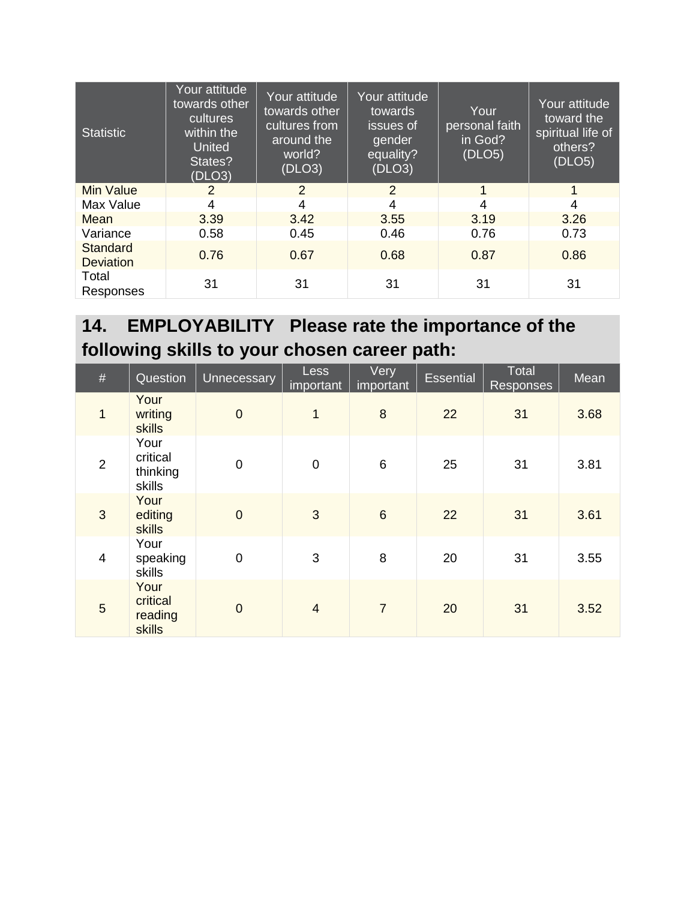| <b>Statistic</b>             | Your attitude<br>towards other<br>cultures<br>within the<br><b>United</b><br>States?<br>(DLO3) | Your attitude<br>towards other<br>cultures from<br>around the<br>world?<br>(DLO3) | Your attitude<br>towards<br>issues of<br>gender<br>equality?<br>(DLO3) | Your<br>personal faith<br>in God?<br>(DLOS) | Your attitude<br>toward the<br>spiritual life of<br>others?<br>(DLOS) |
|------------------------------|------------------------------------------------------------------------------------------------|-----------------------------------------------------------------------------------|------------------------------------------------------------------------|---------------------------------------------|-----------------------------------------------------------------------|
| <b>Min Value</b>             | $\overline{2}$                                                                                 | 2                                                                                 | 2                                                                      | 1                                           | 1                                                                     |
| Max Value                    | 4                                                                                              | 4                                                                                 | 4                                                                      | 4                                           | 4                                                                     |
| Mean                         | 3.39                                                                                           | 3.42                                                                              | 3.55                                                                   | 3.19                                        | 3.26                                                                  |
| Variance                     | 0.58                                                                                           | 0.45                                                                              | 0.46                                                                   | 0.76                                        | 0.73                                                                  |
| Standard<br><b>Deviation</b> | 0.76                                                                                           | 0.67                                                                              | 0.68                                                                   | 0.87                                        | 0.86                                                                  |
| Total<br>Responses           | 31                                                                                             | 31                                                                                | 31                                                                     | 31                                          | 31                                                                    |

### **14. EMPLOYABILITY Please rate the importance of the following skills to your chosen career path:**

| #              | Question                               | Unnecessary    | <b>Less</b><br>important | Very<br>important | <b>Essential</b> | Total<br><b>Responses</b> | Mean |
|----------------|----------------------------------------|----------------|--------------------------|-------------------|------------------|---------------------------|------|
| $\overline{1}$ | Your<br>writing<br>skills              | $\mathbf 0$    | 1                        | 8                 | 22               | 31                        | 3.68 |
| $\overline{2}$ | Your<br>critical<br>thinking<br>skills | $\mathbf 0$    | $\mathbf 0$              | 6                 | 25               | 31                        | 3.81 |
| 3              | Your<br>editing<br>skills              | $\mathbf 0$    | 3                        | $6\phantom{1}$    | 22               | 31                        | 3.61 |
| $\overline{4}$ | Your<br>speaking<br>skills             | $\mathbf 0$    | 3                        | 8                 | 20               | 31                        | 3.55 |
| 5              | Your<br>critical<br>reading<br>skills  | $\overline{0}$ | $\overline{4}$           | $\overline{7}$    | 20               | 31                        | 3.52 |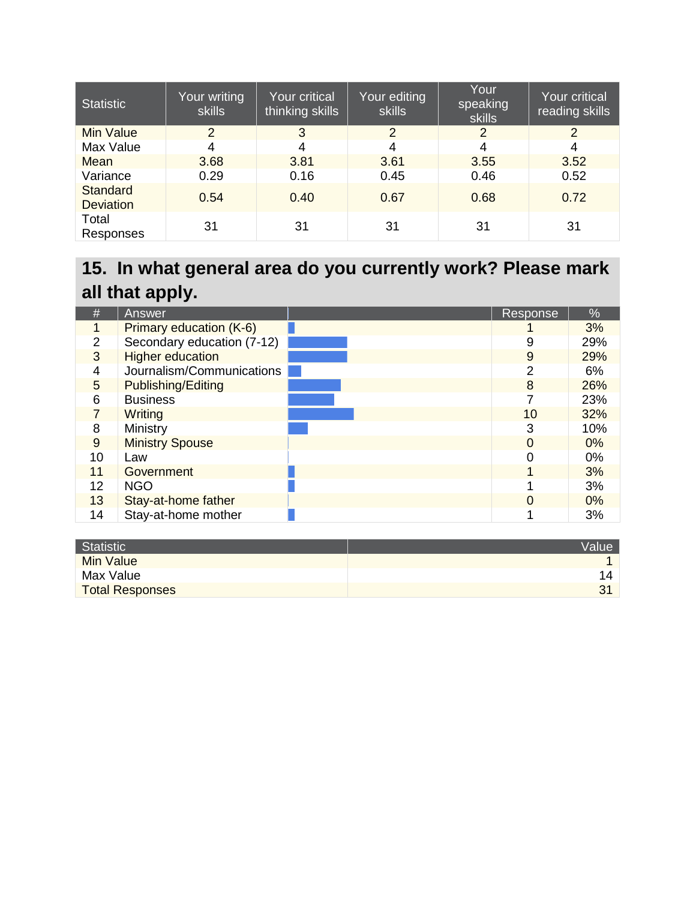| <b>Statistic</b>                    | Your writing<br><b>skills</b> | Your critical<br>thinking skills | Your editing<br><b>skills</b> | Your<br>speaking<br>skills | <b>Your critical</b><br>reading skills |
|-------------------------------------|-------------------------------|----------------------------------|-------------------------------|----------------------------|----------------------------------------|
| <b>Min Value</b>                    | 2                             | 3                                | $\mathcal{P}$                 | 2                          | $\mathcal{P}$                          |
| Max Value                           | 4                             | 4                                | 4                             | 4                          | 4                                      |
| Mean                                | 3.68                          | 3.81                             | 3.61                          | 3.55                       | 3.52                                   |
| Variance                            | 0.29                          | 0.16                             | 0.45                          | 0.46                       | 0.52                                   |
| <b>Standard</b><br><b>Deviation</b> | 0.54                          | 0.40                             | 0.67                          | 0.68                       | 0.72                                   |
| Total<br>Responses                  | 31                            | 31                               | 31                            | 31                         | 31                                     |

## **15. In what general area do you currently work? Please mark all that apply.**

| #              | Answer                     | Response | $\sqrt{2}$ |
|----------------|----------------------------|----------|------------|
|                | Primary education (K-6)    |          | 3%         |
| $\overline{2}$ | Secondary education (7-12) | 9        | 29%        |
| 3              | <b>Higher education</b>    | 9        | 29%        |
| 4              | Journalism/Communications  | 2        | 6%         |
| 5              | Publishing/Editing         | 8        | 26%        |
| 6              | <b>Business</b>            |          | 23%        |
| 7              | Writing                    | 10       | 32%        |
| 8              | Ministry                   | 3        | 10%        |
| 9              | <b>Ministry Spouse</b>     | $\Omega$ | 0%         |
| 10             | Law                        |          | 0%         |
| 11             | Government                 |          | 3%         |
| 12             | <b>NGO</b>                 |          | 3%         |
| 13             | Stay-at-home father        | $\Omega$ | 0%         |
| 14             | Stay-at-home mother        |          | 3%         |

| Statistic              | <b>Value</b>   |
|------------------------|----------------|
| Min Value              |                |
| Max Value              | $\overline{4}$ |
| <b>Total Responses</b> | 2.             |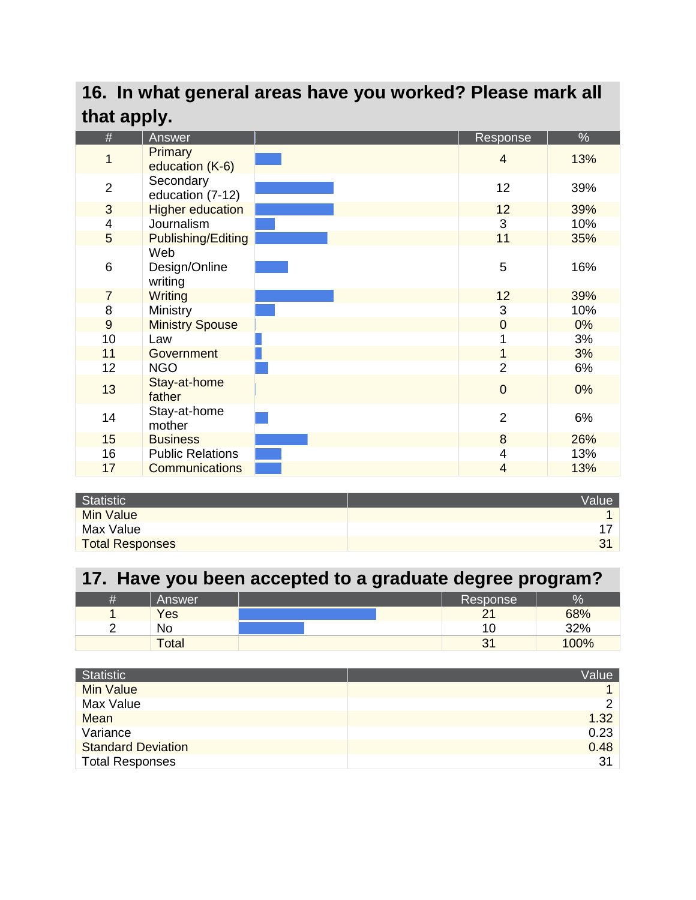#### **16. In what general areas have you worked? Please mark all that apply.**

| #              | Answer                  | Response       | %   |
|----------------|-------------------------|----------------|-----|
|                | <b>Primary</b>          |                |     |
| 1              | education (K-6)         | $\overline{4}$ | 13% |
| $\overline{2}$ | Secondary               | 12             | 39% |
|                | education (7-12)        |                |     |
| 3              | <b>Higher education</b> | 12             | 39% |
| 4              | Journalism              | 3              | 10% |
| 5              | Publishing/Editing      | 11             | 35% |
|                | Web                     |                |     |
| 6              | Design/Online           | 5              | 16% |
|                | writing                 |                |     |
| $\overline{7}$ | <b>Writing</b>          | 12             | 39% |
| 8              | Ministry                | 3              | 10% |
| $\overline{9}$ | <b>Ministry Spouse</b>  | $\mathbf 0$    | 0%  |
| 10             | Law                     | 1              | 3%  |
| 11             | Government              | 1              | 3%  |
| 12             | <b>NGO</b>              | $\overline{2}$ | 6%  |
|                | Stay-at-home            |                |     |
| 13             | father                  | $\overline{0}$ | 0%  |
|                |                         |                |     |
| 14             | Stay-at-home            | $\overline{2}$ | 6%  |
|                | mother                  |                |     |
| 15             | <b>Business</b>         | 8              | 26% |
| 16             | <b>Public Relations</b> | 4              | 13% |
| 17             | <b>Communications</b>   | 4              | 13% |

| Statistic              | <b>Value</b> |
|------------------------|--------------|
| Min Value              |              |
| Max Value              |              |
| <b>Total Responses</b> | $\sim$       |

#### **17. Have you been accepted to a graduate degree program?**

| Ħ | Answer       | Response          | $\sigma$<br>Zσ |
|---|--------------|-------------------|----------------|
|   | Yes          | $\sim$            | 68%            |
|   | No           | 10                | 32%            |
|   | <b>Total</b> | $\mathbf{P}$<br>ື | 100%           |

| Statistic                 | Value |
|---------------------------|-------|
| <b>Min Value</b>          |       |
| Max Value                 | ⌒     |
| Mean                      | 1.32  |
| Variance                  | 0.23  |
| <b>Standard Deviation</b> | 0.48  |
| <b>Total Responses</b>    | 31    |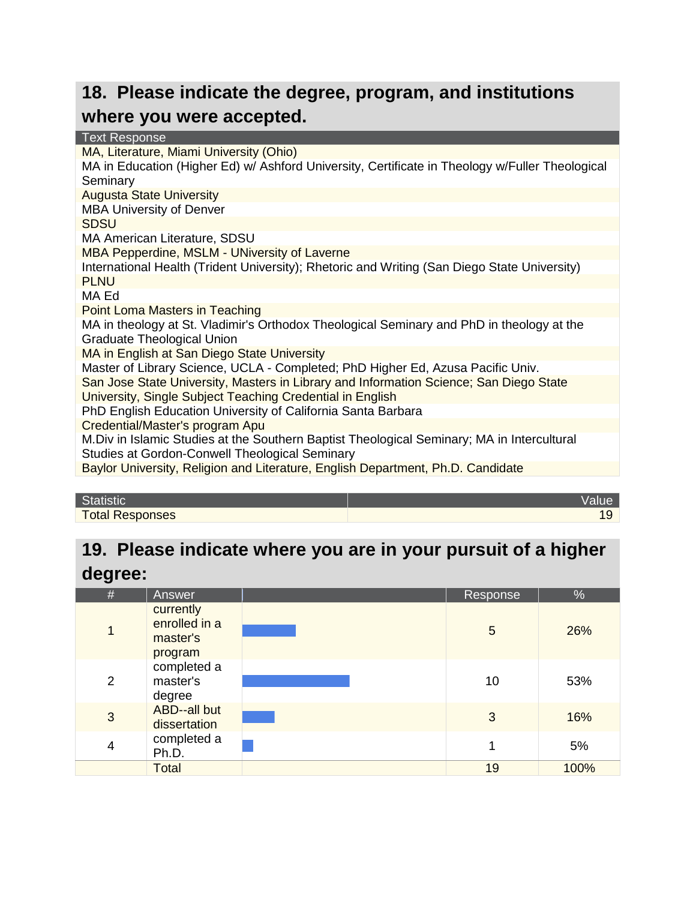#### **18. Please indicate the degree, program, and institutions where you were accepted.**

| <b>Text Response</b>                                                                            |
|-------------------------------------------------------------------------------------------------|
| MA, Literature, Miami University (Ohio)                                                         |
| MA in Education (Higher Ed) w/ Ashford University, Certificate in Theology w/Fuller Theological |
| Seminary                                                                                        |
| <b>Augusta State University</b>                                                                 |
| <b>MBA University of Denver</b>                                                                 |
| <b>SDSU</b>                                                                                     |
| MA American Literature, SDSU                                                                    |
| MBA Pepperdine, MSLM - UNiversity of Laverne                                                    |
| International Health (Trident University); Rhetoric and Writing (San Diego State University)    |
| <b>PLNU</b>                                                                                     |
| MA Ed                                                                                           |
| <b>Point Loma Masters in Teaching</b>                                                           |
| MA in theology at St. Vladimir's Orthodox Theological Seminary and PhD in theology at the       |
| <b>Graduate Theological Union</b>                                                               |
| MA in English at San Diego State University                                                     |
| Master of Library Science, UCLA - Completed; PhD Higher Ed, Azusa Pacific Univ.                 |
| San Jose State University, Masters in Library and Information Science; San Diego State          |
| University, Single Subject Teaching Credential in English                                       |
| PhD English Education University of California Santa Barbara                                    |
| Credential/Master's program Apu                                                                 |
| M. Div in Islamic Studies at the Southern Baptist Theological Seminary; MA in Intercultural     |
| Studies at Gordon-Conwell Theological Seminary                                                  |
| Baylor University, Religion and Literature, English Department, Ph.D. Candidate                 |
|                                                                                                 |

| Statistic              |  |
|------------------------|--|
| <b>Total Responses</b> |  |

#### **19. Please indicate where you are in your pursuit of a higher degree:**

| $\#$ | Answer                                            | Response | $\%$ |
|------|---------------------------------------------------|----------|------|
| 1    | currently<br>enrolled in a<br>master's<br>program | 5        | 26%  |
| 2    | completed a<br>master's<br>degree                 | 10       | 53%  |
| 3    | ABD--all but<br>dissertation                      | 3        | 16%  |
| 4    | completed a<br>Ph.D.                              |          | 5%   |
|      | <b>Total</b>                                      | 19       | 100% |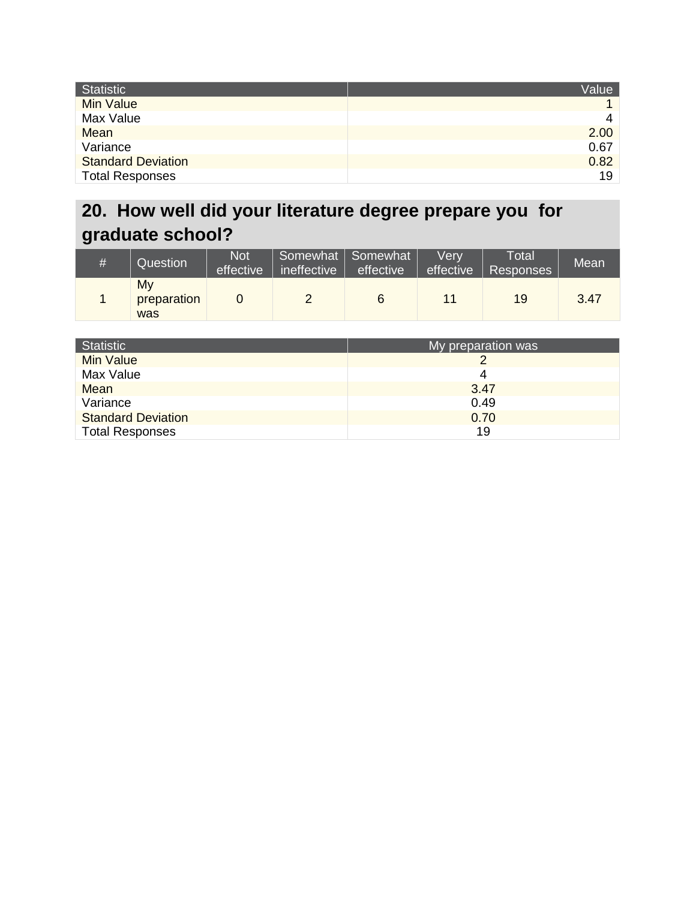| Statistic                 | Value          |
|---------------------------|----------------|
| <b>Min Value</b>          |                |
| Max Value                 | $\overline{4}$ |
| Mean                      | 2.00           |
| Variance                  | 0.67           |
| <b>Standard Deviation</b> | 0.82           |
| <b>Total Responses</b>    | 19             |

## **20. How well did your literature degree prepare you for graduate school?**

| # | Question                 | <b>Not</b><br>effective | ineffective | Somewhat   Somewhat  <br>effective | Verv<br>effective | Total<br>Responses | Mean |
|---|--------------------------|-------------------------|-------------|------------------------------------|-------------------|--------------------|------|
|   | My<br>preparation<br>was |                         |             | 6                                  | 11                | 19                 | 3.47 |

| Statistic                 | My preparation was |
|---------------------------|--------------------|
| <b>Min Value</b>          |                    |
| Max Value                 | 4                  |
| Mean                      | 3.47               |
| Variance                  | 0.49               |
| <b>Standard Deviation</b> | 0.70               |
| <b>Total Responses</b>    | 19                 |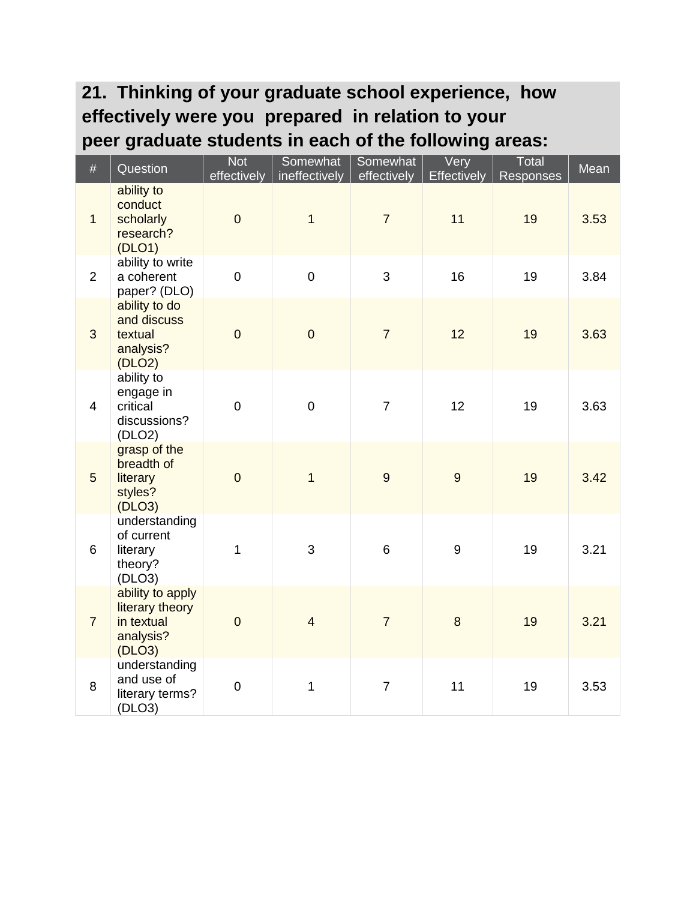### **21. Thinking of your graduate school experience, how effectively were you prepared in relation to your peer graduate students in each of the following areas:**

| #              | Question                                                                 | <b>Not</b><br>effectively | Somewhat<br>ineffectively | Somewhat<br>effectively | Very<br><b>Effectively</b> | Total<br>Responses | Mean |
|----------------|--------------------------------------------------------------------------|---------------------------|---------------------------|-------------------------|----------------------------|--------------------|------|
| $\mathbf{1}$   | ability to<br>conduct<br>scholarly<br>research?<br>(DLO1)                | $\overline{0}$            | $\overline{1}$            | $\overline{7}$          | 11                         | 19                 | 3.53 |
| $\overline{2}$ | ability to write<br>a coherent<br>paper? (DLO)                           | $\overline{0}$            | $\overline{0}$            | 3                       | 16                         | 19                 | 3.84 |
| $\mathfrak{S}$ | ability to do<br>and discuss<br>textual<br>analysis?<br>(DLO2)           | $\overline{0}$            | $\overline{0}$            | $\overline{7}$          | 12                         | 19                 | 3.63 |
| $\overline{4}$ | ability to<br>engage in<br>critical<br>discussions?<br>(DLO2)            | $\overline{0}$            | $\mathbf 0$               | $\overline{7}$          | 12                         | 19                 | 3.63 |
| 5              | grasp of the<br>breadth of<br>literary<br>styles?<br>(DLO3)              | $\overline{0}$            | $\overline{1}$            | 9                       | 9                          | 19                 | 3.42 |
| 6              | understanding<br>of current<br>literary<br>theory?<br>(DLO3)             | $\mathbf{1}$              | 3                         | 6                       | $\boldsymbol{9}$           | 19                 | 3.21 |
| $\overline{7}$ | ability to apply<br>literary theory<br>in textual<br>analysis?<br>(DLO3) | $\mathbf 0$               | $\overline{4}$            | $\overline{7}$          | 8                          | 19                 | 3.21 |
| 8              | understanding<br>and use of<br>literary terms?<br>(DLO3)                 | $\pmb{0}$                 | $\mathbf{1}$              | $\overline{7}$          | 11                         | 19                 | 3.53 |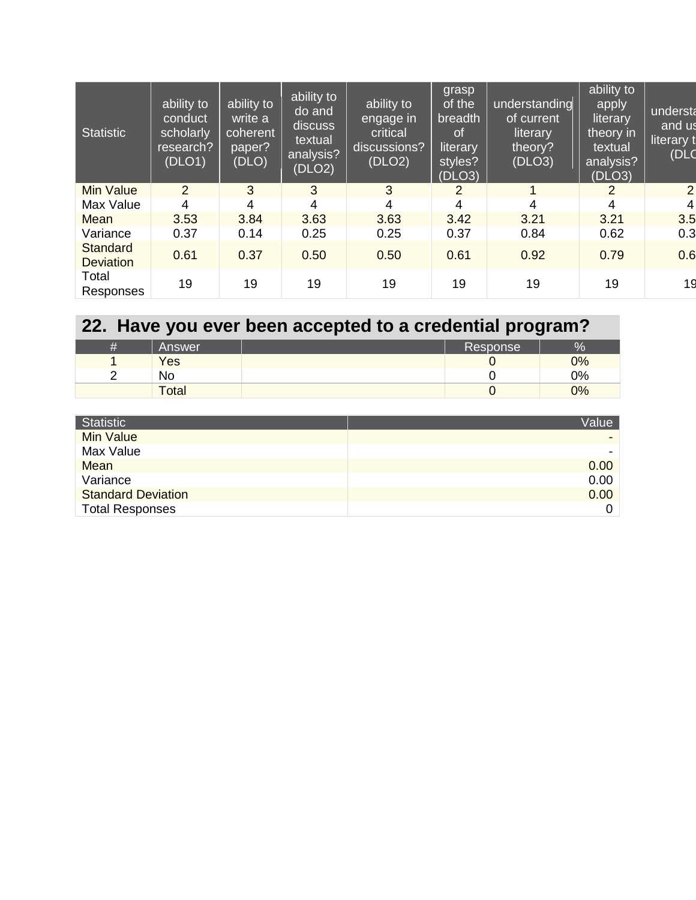| <b>Statistic</b>                    | ability to<br>conduct<br>scholarly<br>research?<br>(DLO1) | ability to<br>write a<br>coherent<br>paper?<br>(DLO) | ability to<br>do and<br>discuss<br>textual<br>analysis?<br>(DLO2) | ability to<br>engage in<br>critical<br>discussions?<br>(DLO2) | grasp<br>of the<br>breadth<br><sub>of</sub><br>literary<br>styles?<br>(DLO3) | understanding<br>of current<br>literary<br>theory?<br>(DLO3) | ability to<br>apply<br>literary<br>theory in<br>textual<br>analysis?<br>(DLO3) | understa<br>and us<br>literary t<br>(DLC |
|-------------------------------------|-----------------------------------------------------------|------------------------------------------------------|-------------------------------------------------------------------|---------------------------------------------------------------|------------------------------------------------------------------------------|--------------------------------------------------------------|--------------------------------------------------------------------------------|------------------------------------------|
| <b>Min Value</b>                    | 2                                                         | 3                                                    | 3                                                                 | 3                                                             | 2                                                                            | 1                                                            | 2                                                                              | 2                                        |
| Max Value                           | 4                                                         | 4                                                    | 4                                                                 | 4                                                             | 4                                                                            | 4                                                            | 4                                                                              | $\vert$                                  |
| Mean                                | 3.53                                                      | 3.84                                                 | 3.63                                                              | 3.63                                                          | 3.42                                                                         | 3.21                                                         | 3.21                                                                           | 3.5                                      |
| Variance                            | 0.37                                                      | 0.14                                                 | 0.25                                                              | 0.25                                                          | 0.37                                                                         | 0.84                                                         | 0.62                                                                           | 0.3                                      |
| <b>Standard</b><br><b>Deviation</b> | 0.61                                                      | 0.37                                                 | 0.50                                                              | 0.50                                                          | 0.61                                                                         | 0.92                                                         | 0.79                                                                           | 0.6                                      |
| Total<br>Responses                  | 19                                                        | 19                                                   | 19                                                                | 19                                                            | 19                                                                           | 19                                                           | 19                                                                             | 19                                       |

| 22. Have you ever been accepted to a credential program? |        |  |          |    |  |
|----------------------------------------------------------|--------|--|----------|----|--|
| #                                                        | Answer |  | Response | %  |  |
|                                                          | Yes    |  |          | 0% |  |
|                                                          | No     |  |          | 0% |  |
|                                                          | Total  |  |          | 0% |  |

| Statistic                 | Value |
|---------------------------|-------|
| <b>Min Value</b>          |       |
| Max Value                 |       |
| Mean                      | 0.00  |
| Variance                  | 0.00  |
| <b>Standard Deviation</b> | 0.00  |
| <b>Total Responses</b>    | 0     |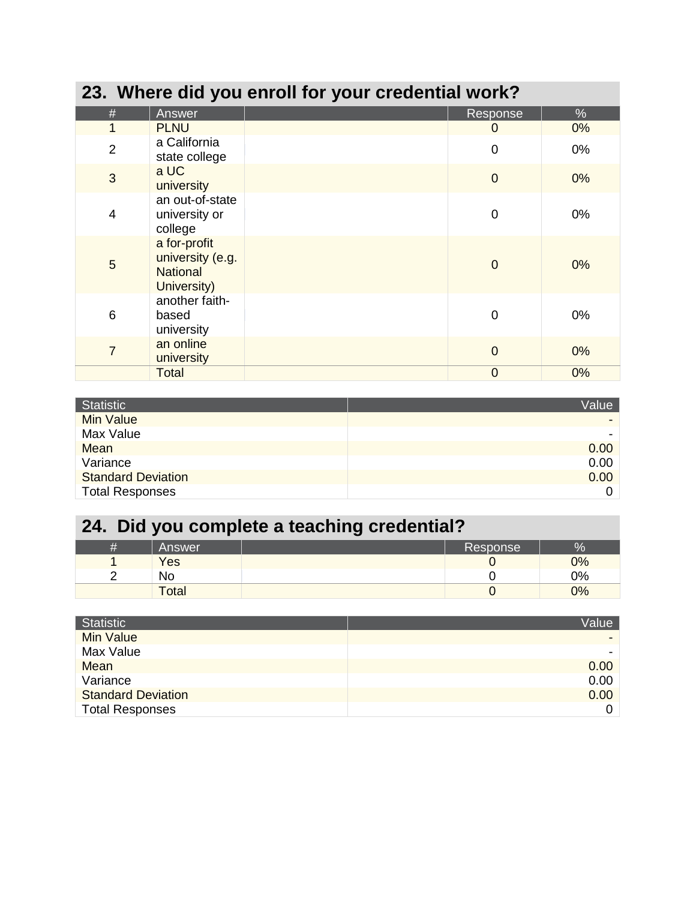| 23. Where did you enroll for your credential work? |                                                                    |  |                |       |  |  |
|----------------------------------------------------|--------------------------------------------------------------------|--|----------------|-------|--|--|
| #                                                  | Answer                                                             |  | Response       | %     |  |  |
| 1                                                  | <b>PLNU</b>                                                        |  | $\Omega$       | $0\%$ |  |  |
| $\overline{2}$                                     | a California<br>state college                                      |  | $\overline{0}$ | 0%    |  |  |
| 3                                                  | a UC<br>university                                                 |  | $\overline{0}$ | $0\%$ |  |  |
| 4                                                  | an out-of-state<br>university or<br>college                        |  | $\mathbf 0$    | $0\%$ |  |  |
| 5                                                  | a for-profit<br>university (e.g.<br><b>National</b><br>University) |  | $\overline{0}$ | 0%    |  |  |
| 6                                                  | another faith-<br>based<br>university                              |  | $\overline{0}$ | $0\%$ |  |  |
| $\overline{7}$                                     | an online<br>university                                            |  | $\overline{0}$ | 0%    |  |  |
|                                                    | Total                                                              |  | $\overline{0}$ | 0%    |  |  |

| <b>Statistic</b>          | Value |
|---------------------------|-------|
| Min Value                 |       |
| Max Value                 |       |
| Mean                      | 0.00  |
| Variance                  | 0.00  |
| <b>Standard Deviation</b> | 0.00  |
| <b>Total Responses</b>    | 0     |

# **24. Did you complete a teaching credential?**

| Answer       | Response | Zσ |
|--------------|----------|----|
| Yes          |          | 0% |
| No           |          | 0% |
| <b>Total</b> |          | 0% |

| Statistic                 | Value |
|---------------------------|-------|
| <b>Min Value</b>          |       |
| Max Value                 |       |
| Mean                      | 0.00  |
| Variance                  | 0.00  |
| <b>Standard Deviation</b> | 0.00  |
| <b>Total Responses</b>    | 0     |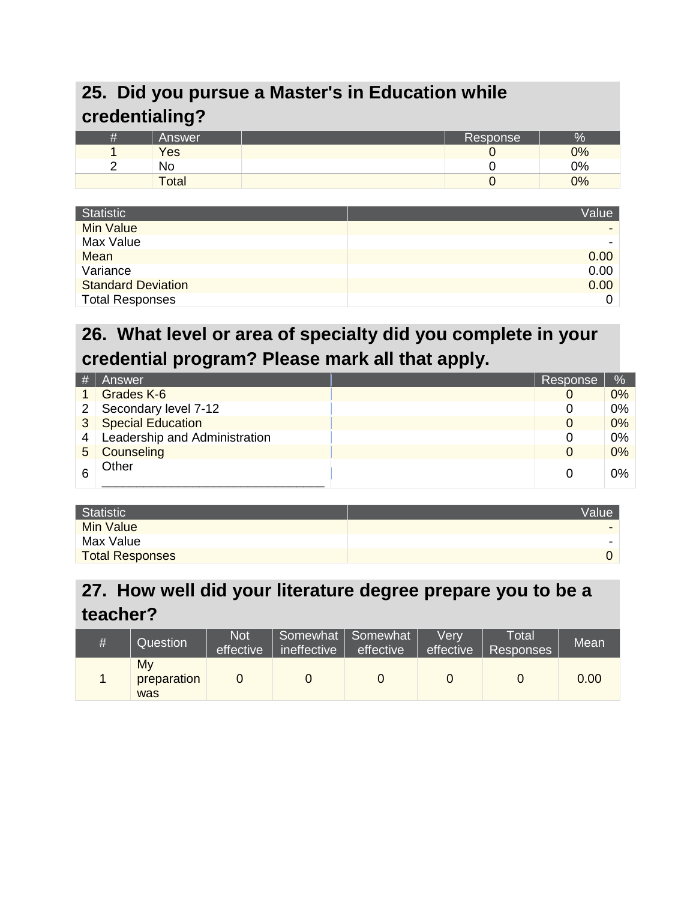#### **25. Did you pursue a Master's in Education while credentialing?**

| _            |          |      |
|--------------|----------|------|
| 'Answer      | Response | $\%$ |
| Yes          |          | 0%   |
| No           |          | 0%   |
| <b>Total</b> |          | 0%   |

| <b>Statistic</b>          | Value |
|---------------------------|-------|
| Min Value                 |       |
| Max Value                 |       |
| Mean                      | 0.00  |
| Variance                  | 0.00  |
| <b>Standard Deviation</b> | 0.00  |
| <b>Total Responses</b>    | 0     |

#### **26. What level or area of specialty did you complete in your credential program? Please mark all that apply.**

| #              | Answer                        | Response | $\sqrt{2}$ |
|----------------|-------------------------------|----------|------------|
|                | Grades K-6                    | 0        | 0%         |
| $\overline{2}$ | Secondary level 7-12          | 0        | 0%         |
| 3              | <b>Special Education</b>      | 0        | 0%         |
| 4              | Leadership and Administration | 0        | 0%         |
| 5              | Counseling                    | 0        | 0%         |
|                | Other                         | 0        | $0\%$      |

| Statistic              | <b>Value</b> |
|------------------------|--------------|
| <b>Min Value</b>       |              |
| Max Value              |              |
| <b>Total Responses</b> |              |

#### **27. How well did your literature degree prepare you to be a teacher?**

| # | Question                 | <b>Not</b><br>effective | ineffective | Somewhat   Somewhat  <br>effective | Verv<br>effective | Total<br>Responses | Mean |
|---|--------------------------|-------------------------|-------------|------------------------------------|-------------------|--------------------|------|
|   | My<br>preparation<br>was |                         |             |                                    |                   |                    | 0.00 |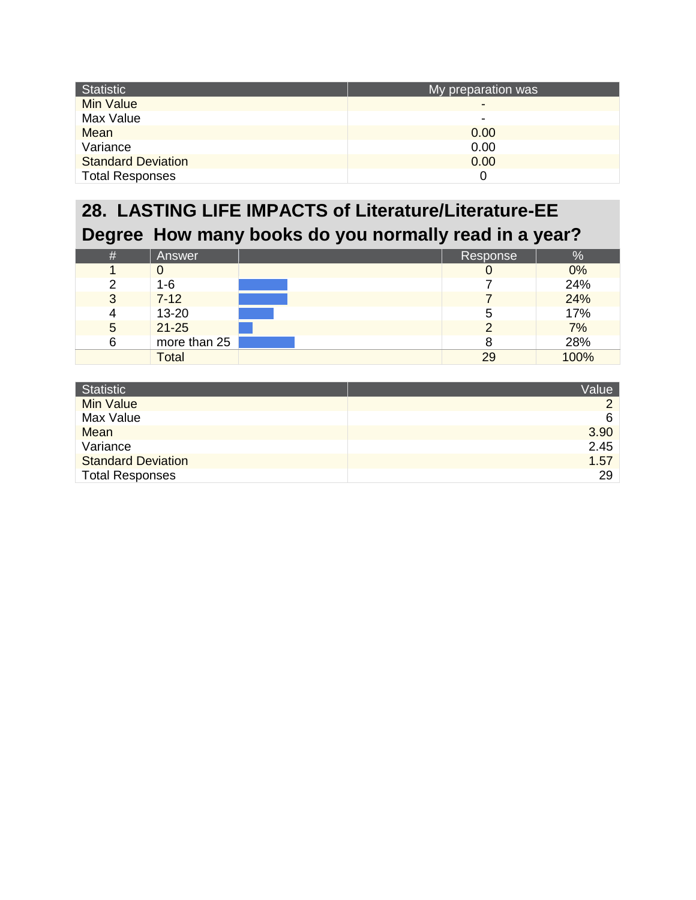| <b>Statistic</b>          | My preparation was |
|---------------------------|--------------------|
| <b>Min Value</b>          | -                  |
| Max Value                 | ۰                  |
| Mean                      | 0.00               |
| Variance                  | 0.00               |
| <b>Standard Deviation</b> | 0.00               |
| <b>Total Responses</b>    |                    |

### **28. LASTING LIFE IMPACTS of Literature/Literature-EE Degree How many books do you normally read in a year?**

| $\#$ | Answer       | Response | $\frac{1}{2}$ |
|------|--------------|----------|---------------|
|      |              |          | 0%            |
| っ    | $1 - 6$      |          | 24%           |
| 3    | $7 - 12$     |          | 24%           |
|      | 13-20        | b        | 17%           |
| 5    | $21 - 25$    |          | 7%            |
| 6    | more than 25 |          | 28%           |
|      | Total        | 29       | 100%          |

| Statistic                 | Value    |
|---------------------------|----------|
| <b>Min Value</b>          | $\Omega$ |
| Max Value                 | 6        |
| <b>Mean</b>               | 3.90     |
| Variance                  | 2.45     |
| <b>Standard Deviation</b> | 1.57     |
| <b>Total Responses</b>    | 29       |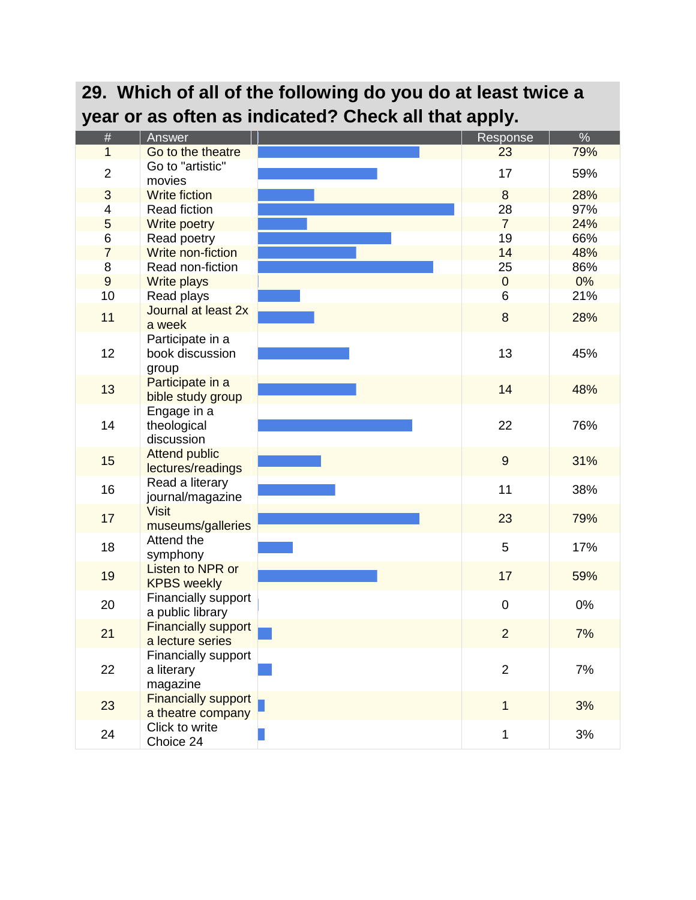|                |                               | year or as often as indicated? Check all that apply. |                |               |
|----------------|-------------------------------|------------------------------------------------------|----------------|---------------|
| #              | Answer                        |                                                      | Response       | $\frac{1}{2}$ |
| 1              | Go to the theatre             |                                                      | 23             | 79%           |
| $\overline{2}$ | Go to "artistic"<br>movies    |                                                      | 17             | 59%           |
| 3              | <b>Write fiction</b>          |                                                      | 8              | 28%           |
| 4              | Read fiction                  |                                                      | 28             | 97%           |
| 5              | Write poetry                  |                                                      | $\overline{7}$ | 24%           |
| 6              | Read poetry                   |                                                      | 19             | 66%           |
| $\overline{7}$ | Write non-fiction             |                                                      | 14             | 48%           |
| 8              | Read non-fiction              |                                                      | 25             | 86%           |
| $\overline{9}$ | <b>Write plays</b>            |                                                      | $\mathbf 0$    | 0%            |
| 10             | Read plays                    |                                                      | 6              | 21%           |
| 11             | Journal at least 2x<br>a week |                                                      | 8              | 28%           |
|                | Participate in a              |                                                      |                |               |
| 12             | book discussion               |                                                      | 13             | 45%           |
|                | group                         |                                                      |                |               |
|                | Participate in a              |                                                      |                |               |
| 13             | bible study group             |                                                      | 14             | 48%           |
|                | Engage in a                   |                                                      |                |               |
| 14             | theological                   |                                                      | 22             | 76%           |
|                | discussion                    |                                                      |                |               |
|                | <b>Attend public</b>          |                                                      |                |               |
| 15             | lectures/readings             |                                                      | $9\,$          | 31%           |
| 16             | Read a literary               |                                                      | 11             | 38%           |
|                | journal/magazine              |                                                      |                |               |
| 17             | <b>Visit</b>                  |                                                      | 23             | 79%           |
|                | museums/galleries             |                                                      |                |               |
| 18             | Attend the                    |                                                      | 5              | 17%           |
|                | symphony                      |                                                      |                |               |
| 19             | Listen to NPR or              |                                                      | 17             | 59%           |
|                | <b>KPBS</b> weekly            |                                                      |                |               |
| 20             | Financially support           |                                                      | 0              | 0%            |
|                | a public library              |                                                      |                |               |
| 21             | <b>Financially support</b>    |                                                      | $\overline{2}$ | 7%            |
|                | a lecture series              |                                                      |                |               |
|                | Financially support           |                                                      |                |               |
| 22             | a literary                    |                                                      | $\overline{2}$ | 7%            |
|                | magazine                      |                                                      |                |               |
| 23             | <b>Financially support</b>    |                                                      | $\mathbf{1}$   | 3%            |
|                | a theatre company             |                                                      |                |               |
| 24             | Click to write                |                                                      | 1              | 3%            |
|                | Choice 24                     |                                                      |                |               |

### **29. Which of all of the following do you do at least twice a year or as often as indicated? Check all that apply.**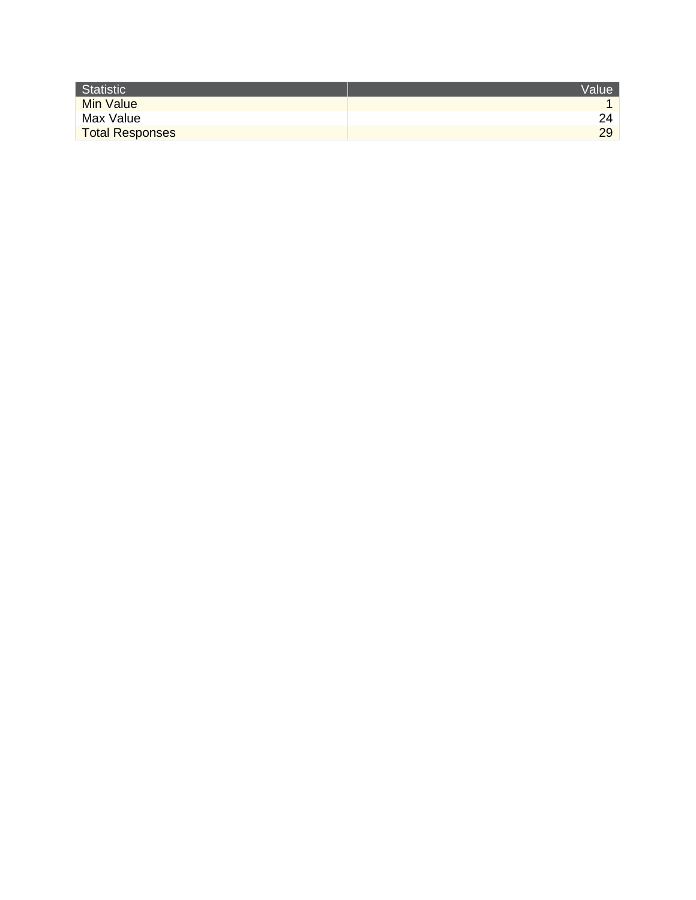| Statistic              | <b>Value</b> |
|------------------------|--------------|
| <b>Min Value</b>       |              |
| Max Value              |              |
| <b>Total Responses</b> | 29           |
|                        |              |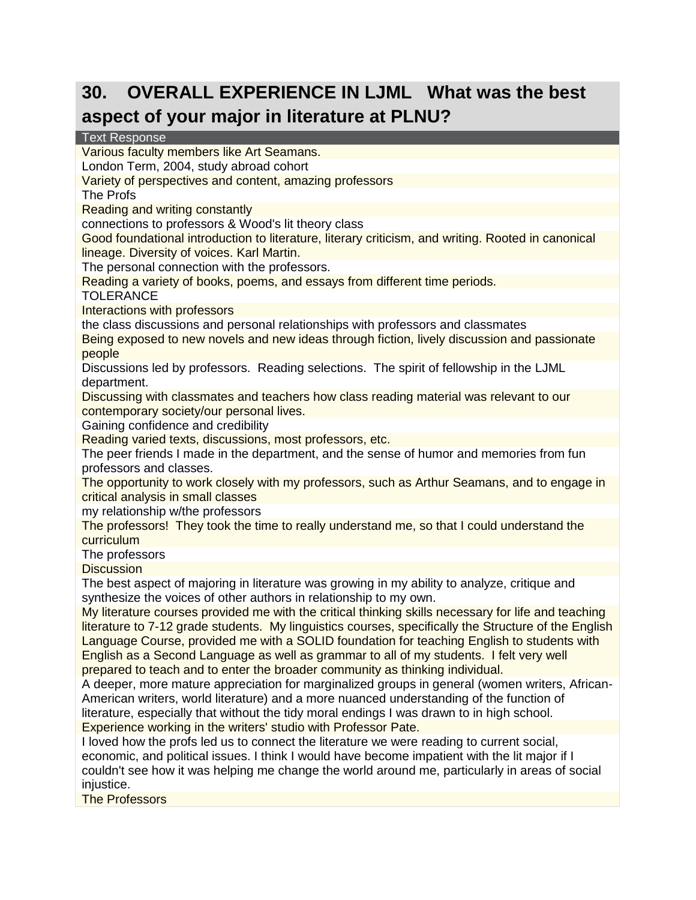#### **30. OVERALL EXPERIENCE IN LJML What was the best aspect of your major in literature at PLNU?**

#### Text Response

Various faculty members like Art Seamans.

London Term, 2004, study abroad cohort

Variety of perspectives and content, amazing professors

The Profs

Reading and writing constantly

connections to professors & Wood's lit theory class

Good foundational introduction to literature, literary criticism, and writing. Rooted in canonical lineage. Diversity of voices. Karl Martin.

The personal connection with the professors.

Reading a variety of books, poems, and essays from different time periods.

**TOLERANCE** 

Interactions with professors

the class discussions and personal relationships with professors and classmates

Being exposed to new novels and new ideas through fiction, lively discussion and passionate people

Discussions led by professors. Reading selections. The spirit of fellowship in the LJML department.

Discussing with classmates and teachers how class reading material was relevant to our contemporary society/our personal lives.

Gaining confidence and credibility

Reading varied texts, discussions, most professors, etc.

The peer friends I made in the department, and the sense of humor and memories from fun professors and classes.

The opportunity to work closely with my professors, such as Arthur Seamans, and to engage in critical analysis in small classes

my relationship w/the professors

The professors! They took the time to really understand me, so that I could understand the curriculum

The professors

**Discussion** 

The best aspect of majoring in literature was growing in my ability to analyze, critique and synthesize the voices of other authors in relationship to my own.

My literature courses provided me with the critical thinking skills necessary for life and teaching literature to 7-12 grade students. My linguistics courses, specifically the Structure of the English Language Course, provided me with a SOLID foundation for teaching English to students with English as a Second Language as well as grammar to all of my students. I felt very well prepared to teach and to enter the broader community as thinking individual.

A deeper, more mature appreciation for marginalized groups in general (women writers, African-American writers, world literature) and a more nuanced understanding of the function of literature, especially that without the tidy moral endings I was drawn to in high school. Experience working in the writers' studio with Professor Pate.

I loved how the profs led us to connect the literature we were reading to current social, economic, and political issues. I think I would have become impatient with the lit major if I couldn't see how it was helping me change the world around me, particularly in areas of social injustice.

The Professors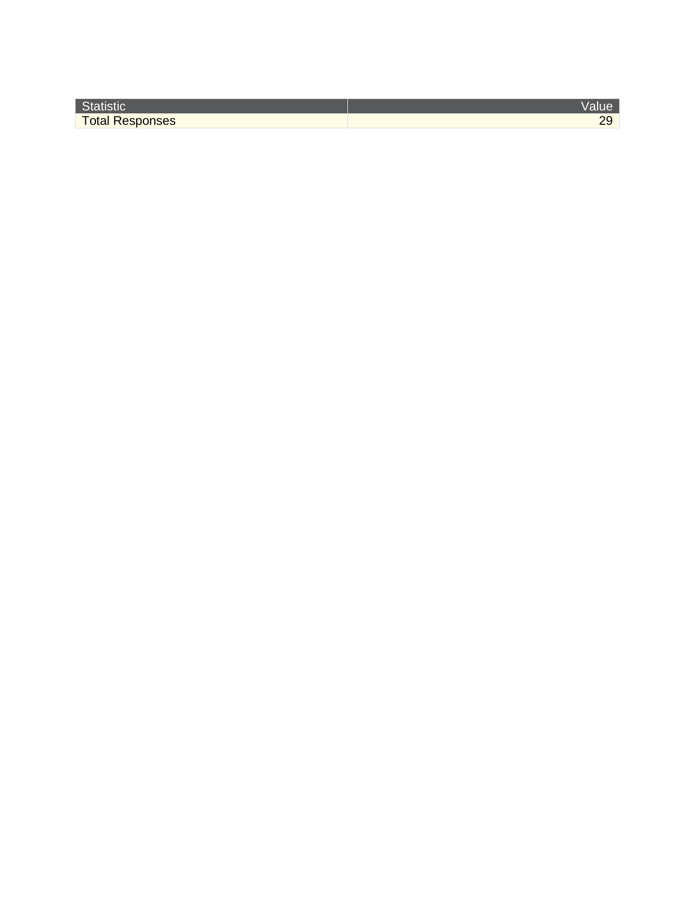| o.                     |  |
|------------------------|--|
| <b>Total Responses</b> |  |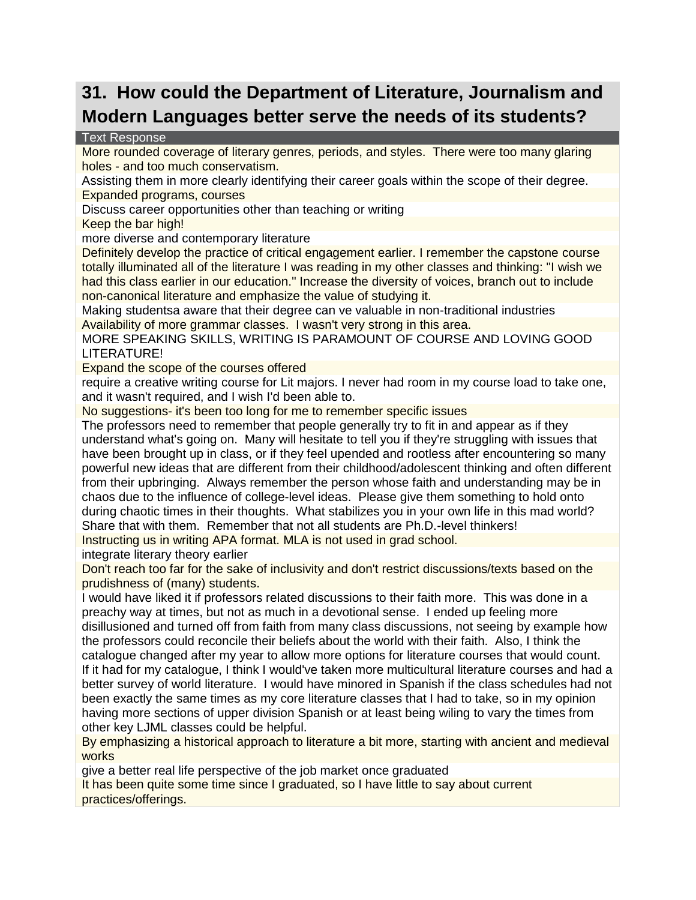#### **31. How could the Department of Literature, Journalism and Modern Languages better serve the needs of its students?**

#### Text Response

More rounded coverage of literary genres, periods, and styles. There were too many glaring holes - and too much conservatism.

Assisting them in more clearly identifying their career goals within the scope of their degree. Expanded programs, courses

Discuss career opportunities other than teaching or writing

Keep the bar high!

more diverse and contemporary literature

Definitely develop the practice of critical engagement earlier. I remember the capstone course totally illuminated all of the literature I was reading in my other classes and thinking: "I wish we had this class earlier in our education." Increase the diversity of voices, branch out to include non-canonical literature and emphasize the value of studying it.

Making studentsa aware that their degree can ve valuable in non-traditional industries Availability of more grammar classes. I wasn't very strong in this area.

MORE SPEAKING SKILLS, WRITING IS PARAMOUNT OF COURSE AND LOVING GOOD LITERATURE!

Expand the scope of the courses offered

require a creative writing course for Lit majors. I never had room in my course load to take one, and it wasn't required, and I wish I'd been able to.

No suggestions- it's been too long for me to remember specific issues

The professors need to remember that people generally try to fit in and appear as if they understand what's going on. Many will hesitate to tell you if they're struggling with issues that have been brought up in class, or if they feel upended and rootless after encountering so many powerful new ideas that are different from their childhood/adolescent thinking and often different from their upbringing. Always remember the person whose faith and understanding may be in chaos due to the influence of college-level ideas. Please give them something to hold onto during chaotic times in their thoughts. What stabilizes you in your own life in this mad world? Share that with them. Remember that not all students are Ph.D.-level thinkers! Instructing us in writing APA format. MLA is not used in grad school.

integrate literary theory earlier

Don't reach too far for the sake of inclusivity and don't restrict discussions/texts based on the prudishness of (many) students.

I would have liked it if professors related discussions to their faith more. This was done in a preachy way at times, but not as much in a devotional sense. I ended up feeling more disillusioned and turned off from faith from many class discussions, not seeing by example how the professors could reconcile their beliefs about the world with their faith. Also, I think the catalogue changed after my year to allow more options for literature courses that would count. If it had for my catalogue, I think I would've taken more multicultural literature courses and had a better survey of world literature. I would have minored in Spanish if the class schedules had not been exactly the same times as my core literature classes that I had to take, so in my opinion having more sections of upper division Spanish or at least being wiling to vary the times from other key LJML classes could be helpful.

By emphasizing a historical approach to literature a bit more, starting with ancient and medieval works

give a better real life perspective of the job market once graduated

It has been quite some time since I graduated, so I have little to say about current practices/offerings.